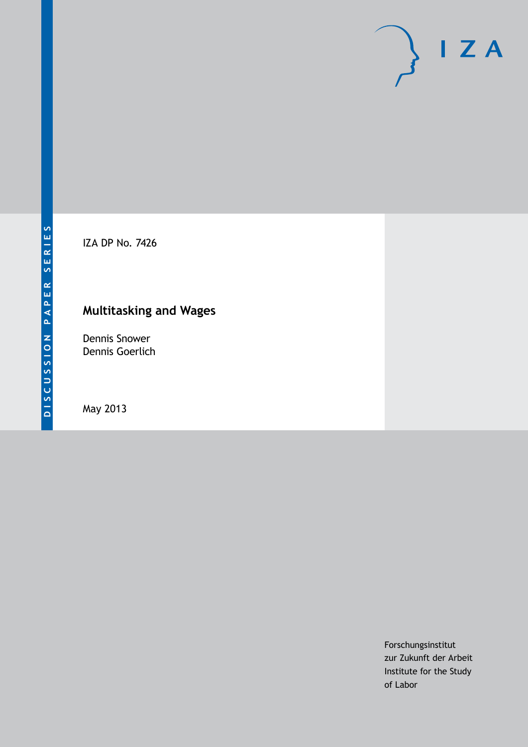

IZA DP No. 7426

# **Multitasking and Wages**

Dennis Snower Dennis Goerlich

May 2013

Forschungsinstitut zur Zukunft der Arbeit Institute for the Study of Labor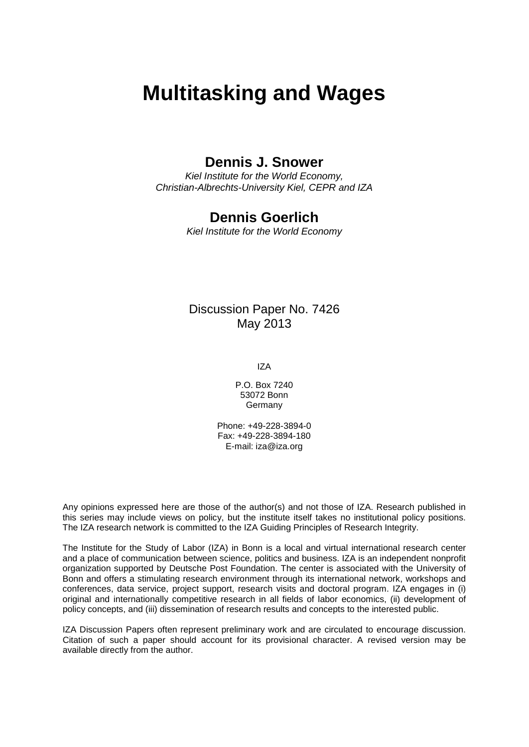# **Multitasking and Wages**

# **Dennis J. Snower**

*Kiel Institute for the World Economy, Christian-Albrechts-University Kiel, CEPR and IZA*

# **Dennis Goerlich**

*Kiel Institute for the World Economy*

# Discussion Paper No. 7426 May 2013

IZA

P.O. Box 7240 53072 Bonn Germany

Phone: +49-228-3894-0 Fax: +49-228-3894-180 E-mail: [iza@iza.org](mailto:iza@iza.org)

Any opinions expressed here are those of the author(s) and not those of IZA. Research published in this series may include views on policy, but the institute itself takes no institutional policy positions. The IZA research network is committed to the IZA Guiding Principles of Research Integrity.

The Institute for the Study of Labor (IZA) in Bonn is a local and virtual international research center and a place of communication between science, politics and business. IZA is an independent nonprofit organization supported by Deutsche Post Foundation. The center is associated with the University of Bonn and offers a stimulating research environment through its international network, workshops and conferences, data service, project support, research visits and doctoral program. IZA engages in (i) original and internationally competitive research in all fields of labor economics, (ii) development of policy concepts, and (iii) dissemination of research results and concepts to the interested public.

<span id="page-1-0"></span>IZA Discussion Papers often represent preliminary work and are circulated to encourage discussion. Citation of such a paper should account for its provisional character. A revised version may be available directly from the author.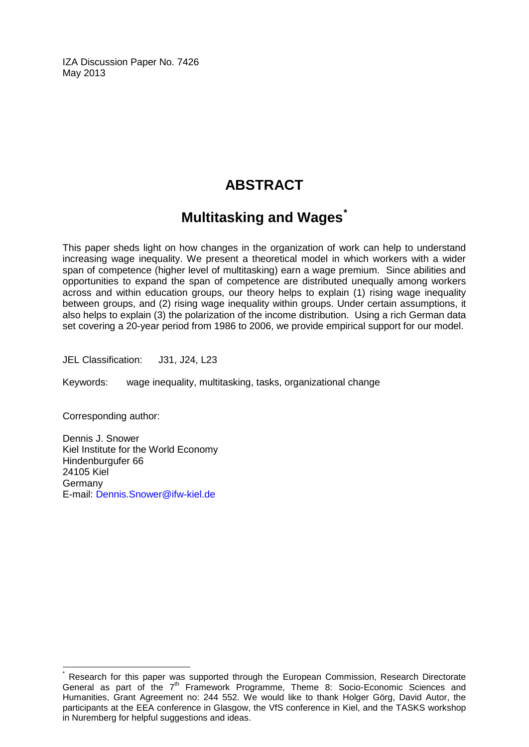IZA Discussion Paper No. 7426 May 2013

# **ABSTRACT**

# **Multitasking and Wages[\\*](#page-1-0)**

This paper sheds light on how changes in the organization of work can help to understand increasing wage inequality. We present a theoretical model in which workers with a wider span of competence (higher level of multitasking) earn a wage premium. Since abilities and opportunities to expand the span of competence are distributed unequally among workers across and within education groups, our theory helps to explain (1) rising wage inequality between groups, and (2) rising wage inequality within groups. Under certain assumptions, it also helps to explain (3) the polarization of the income distribution. Using a rich German data set covering a 20-year period from 1986 to 2006, we provide empirical support for our model.

JEL Classification: J31, J24, L23

Keywords: wage inequality, multitasking, tasks, organizational change

Corresponding author:

Dennis J. Snower Kiel Institute for the World Economy Hindenburgufer 66 24105 Kiel Germany E-mail: [Dennis.Snower@ifw-kiel.de](mailto:Dennis.Snower@ifw-kiel.de)

Research for this paper was supported through the European Commission, Research Directorate General as part of the 7<sup>th</sup> Framework Programme, Theme 8: Socio-Economic Sciences and Humanities, Grant Agreement no: 244 552. We would like to thank Holger Görg, David Autor, the participants at the EEA conference in Glasgow, the VfS conference in Kiel, and the TASKS workshop in Nuremberg for helpful suggestions and ideas.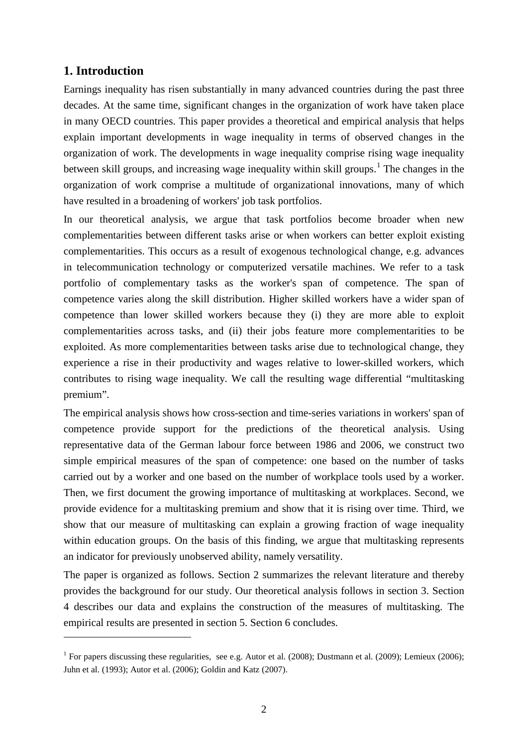### **1. Introduction**

 $\overline{a}$ 

Earnings inequality has risen substantially in many advanced countries during the past three decades. At the same time, significant changes in the organization of work have taken place in many OECD countries. This paper provides a theoretical and empirical analysis that helps explain important developments in wage inequality in terms of observed changes in the organization of work. The developments in wage inequality comprise rising wage inequality between skill groups, and increasing wage inequality within skill groups.<sup>1</sup> The changes in the organization of work comprise a multitude of organizational innovations, many of which have resulted in a broadening of workers' job task portfolios.

In our theoretical analysis, we argue that task portfolios become broader when new complementarities between different tasks arise or when workers can better exploit existing complementarities. This occurs as a result of exogenous technological change, e.g. advances in telecommunication technology or computerized versatile machines. We refer to a task portfolio of complementary tasks as the worker's span of competence. The span of competence varies along the skill distribution. Higher skilled workers have a wider span of competence than lower skilled workers because they (i) they are more able to exploit complementarities across tasks, and (ii) their jobs feature more complementarities to be exploited. As more complementarities between tasks arise due to technological change, they experience a rise in their productivity and wages relative to lower-skilled workers, which contributes to rising wage inequality. We call the resulting wage differential "multitasking premium".

The empirical analysis shows how cross-section and time-series variations in workers' span of competence provide support for the predictions of the theoretical analysis. Using representative data of the German labour force between 1986 and 2006, we construct two simple empirical measures of the span of competence: one based on the number of tasks carried out by a worker and one based on the number of workplace tools used by a worker. Then, we first document the growing importance of multitasking at workplaces. Second, we provide evidence for a multitasking premium and show that it is rising over time. Third, we show that our measure of multitasking can explain a growing fraction of wage inequality within education groups. On the basis of this finding, we argue that multitasking represents an indicator for previously unobserved ability, namely versatility.

The paper is organized as follows. Section 2 summarizes the relevant literature and thereby provides the background for our study. Our theoretical analysis follows in section 3. Section 4 describes our data and explains the construction of the measures of multitasking. The empirical results are presented in section 5. Section 6 concludes.

<span id="page-3-0"></span><sup>&</sup>lt;sup>1</sup> For papers discussing these regularities, see e.g. Autor et al. (2008); Dustmann et al. (2009); Lemieux (2006); Juhn et al. (1993); Autor et al. (2006); Goldin and Katz (2007).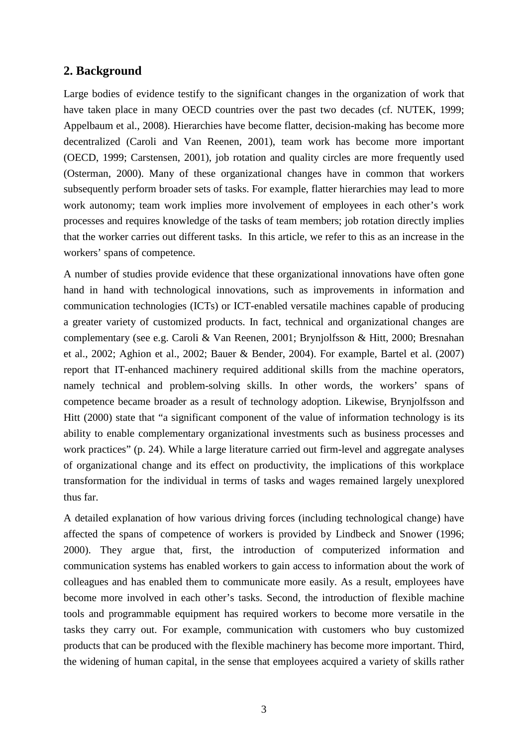### **2. Background**

Large bodies of evidence testify to the significant changes in the organization of work that have taken place in many OECD countries over the past two decades (cf. NUTEK, 1999; Appelbaum et al., 2008). Hierarchies have become flatter, decision-making has become more decentralized (Caroli and Van Reenen, 2001), team work has become more important (OECD, 1999; Carstensen, 2001), job rotation and quality circles are more frequently used (Osterman, 2000). Many of these organizational changes have in common that workers subsequently perform broader sets of tasks. For example, flatter hierarchies may lead to more work autonomy; team work implies more involvement of employees in each other's work processes and requires knowledge of the tasks of team members; job rotation directly implies that the worker carries out different tasks. In this article, we refer to this as an increase in the workers' spans of competence.

A number of studies provide evidence that these organizational innovations have often gone hand in hand with technological innovations, such as improvements in information and communication technologies (ICTs) or ICT-enabled versatile machines capable of producing a greater variety of customized products. In fact, technical and organizational changes are complementary (see e.g. Caroli & Van Reenen, 2001; Brynjolfsson & Hitt, 2000; Bresnahan et al., 2002; Aghion et al., 2002; Bauer & Bender, 2004). For example, Bartel et al. (2007) report that IT-enhanced machinery required additional skills from the machine operators, namely technical and problem-solving skills. In other words, the workers' spans of competence became broader as a result of technology adoption. Likewise, Brynjolfsson and Hitt (2000) state that "a significant component of the value of information technology is its ability to enable complementary organizational investments such as business processes and work practices" (p. 24). While a large literature carried out firm-level and aggregate analyses of organizational change and its effect on productivity, the implications of this workplace transformation for the individual in terms of tasks and wages remained largely unexplored thus far.

A detailed explanation of how various driving forces (including technological change) have affected the spans of competence of workers is provided by Lindbeck and Snower (1996; 2000). They argue that, first, the introduction of computerized information and communication systems has enabled workers to gain access to information about the work of colleagues and has enabled them to communicate more easily. As a result, employees have become more involved in each other's tasks. Second, the introduction of flexible machine tools and programmable equipment has required workers to become more versatile in the tasks they carry out. For example, communication with customers who buy customized products that can be produced with the flexible machinery has become more important. Third, the widening of human capital, in the sense that employees acquired a variety of skills rather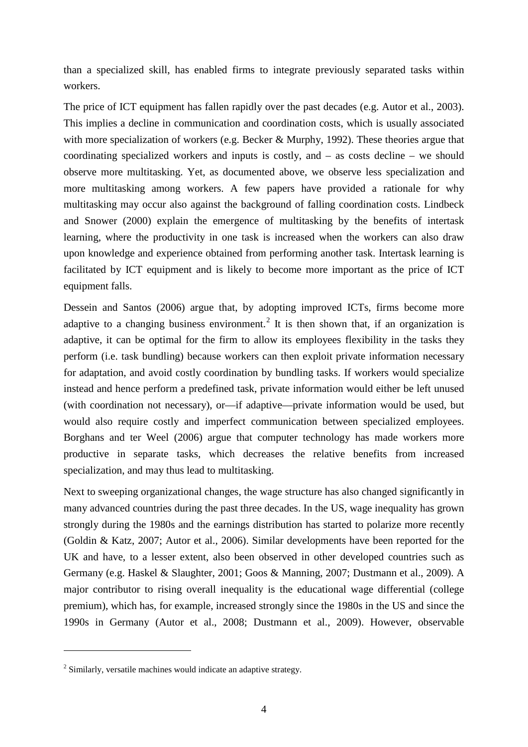than a specialized skill, has enabled firms to integrate previously separated tasks within workers.

The price of ICT equipment has fallen rapidly over the past decades (e.g. Autor et al., 2003). This implies a decline in communication and coordination costs, which is usually associated with more specialization of workers (e.g. Becker & Murphy, 1992). These theories argue that coordinating specialized workers and inputs is costly, and  $-$  as costs decline  $-$  we should observe more multitasking. Yet, as documented above, we observe less specialization and more multitasking among workers. A few papers have provided a rationale for why multitasking may occur also against the background of falling coordination costs. Lindbeck and Snower (2000) explain the emergence of multitasking by the benefits of intertask learning, where the productivity in one task is increased when the workers can also draw upon knowledge and experience obtained from performing another task. Intertask learning is facilitated by ICT equipment and is likely to become more important as the price of ICT equipment falls.

Dessein and Santos (2006) argue that, by adopting improved ICTs, firms become more adaptive to a changing business environment.<sup>[2](#page-3-0)</sup> It is then shown that, if an organization is adaptive, it can be optimal for the firm to allow its employees flexibility in the tasks they perform (i.e. task bundling) because workers can then exploit private information necessary for adaptation, and avoid costly coordination by bundling tasks. If workers would specialize instead and hence perform a predefined task, private information would either be left unused (with coordination not necessary), or—if adaptive—private information would be used, but would also require costly and imperfect communication between specialized employees. Borghans and ter Weel (2006) argue that computer technology has made workers more productive in separate tasks, which decreases the relative benefits from increased specialization, and may thus lead to multitasking.

Next to sweeping organizational changes, the wage structure has also changed significantly in many advanced countries during the past three decades. In the US, wage inequality has grown strongly during the 1980s and the earnings distribution has started to polarize more recently (Goldin & Katz, 2007; Autor et al., 2006). Similar developments have been reported for the UK and have, to a lesser extent, also been observed in other developed countries such as Germany (e.g. Haskel & Slaughter, 2001; Goos & Manning, 2007; Dustmann et al., 2009). A major contributor to rising overall inequality is the educational wage differential (college premium), which has, for example, increased strongly since the 1980s in the US and since the 1990s in Germany (Autor et al., 2008; Dustmann et al., 2009). However, observable

<span id="page-5-0"></span> $\overline{a}$ 

 $2$  Similarly, versatile machines would indicate an adaptive strategy.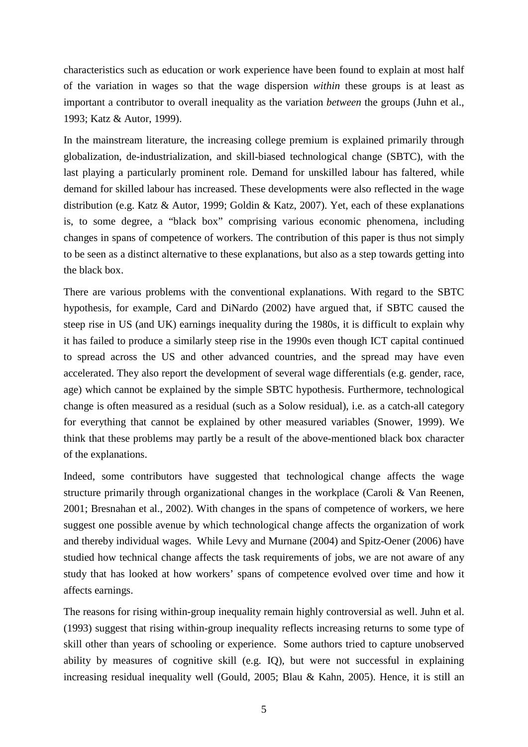characteristics such as education or work experience have been found to explain at most half of the variation in wages so that the wage dispersion *within* these groups is at least as important a contributor to overall inequality as the variation *between* the groups (Juhn et al., 1993; Katz & Autor, 1999).

In the mainstream literature, the increasing college premium is explained primarily through globalization, de-industrialization, and skill-biased technological change (SBTC), with the last playing a particularly prominent role. Demand for unskilled labour has faltered, while demand for skilled labour has increased. These developments were also reflected in the wage distribution (e.g. Katz & Autor, 1999; Goldin & Katz, 2007). Yet, each of these explanations is, to some degree, a "black box" comprising various economic phenomena, including changes in spans of competence of workers. The contribution of this paper is thus not simply to be seen as a distinct alternative to these explanations, but also as a step towards getting into the black box.

There are various problems with the conventional explanations. With regard to the SBTC hypothesis, for example, Card and DiNardo (2002) have argued that, if SBTC caused the steep rise in US (and UK) earnings inequality during the 1980s, it is difficult to explain why it has failed to produce a similarly steep rise in the 1990s even though ICT capital continued to spread across the US and other advanced countries, and the spread may have even accelerated. They also report the development of several wage differentials (e.g. gender, race, age) which cannot be explained by the simple SBTC hypothesis. Furthermore, technological change is often measured as a residual (such as a Solow residual), i.e. as a catch-all category for everything that cannot be explained by other measured variables (Snower, 1999). We think that these problems may partly be a result of the above-mentioned black box character of the explanations.

Indeed, some contributors have suggested that technological change affects the wage structure primarily through organizational changes in the workplace (Caroli & Van Reenen, 2001; Bresnahan et al., 2002). With changes in the spans of competence of workers, we here suggest one possible avenue by which technological change affects the organization of work and thereby individual wages. While Levy and Murnane (2004) and Spitz-Oener (2006) have studied how technical change affects the task requirements of jobs, we are not aware of any study that has looked at how workers' spans of competence evolved over time and how it affects earnings.

The reasons for rising within-group inequality remain highly controversial as well. Juhn et al. (1993) suggest that rising within-group inequality reflects increasing returns to some type of skill other than years of schooling or experience. Some authors tried to capture unobserved ability by measures of cognitive skill (e.g. IQ), but were not successful in explaining increasing residual inequality well (Gould, 2005; Blau & Kahn, 2005). Hence, it is still an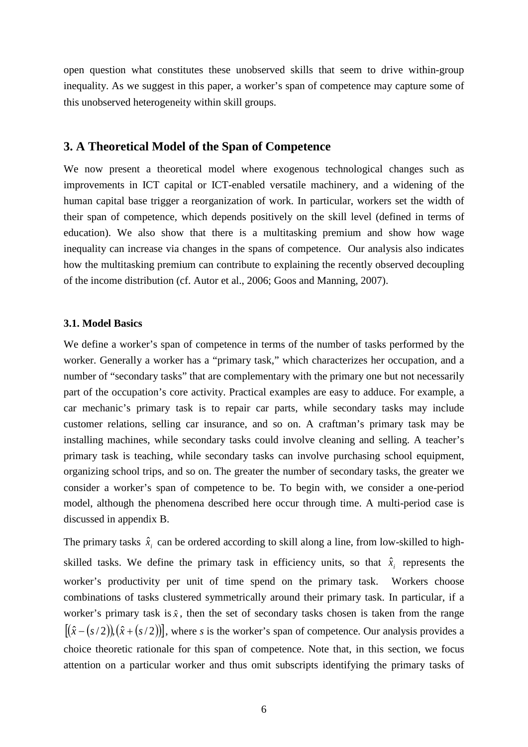open question what constitutes these unobserved skills that seem to drive within-group inequality. As we suggest in this paper, a worker's span of competence may capture some of this unobserved heterogeneity within skill groups.

#### **3. A Theoretical Model of the Span of Competence**

We now present a theoretical model where exogenous technological changes such as improvements in ICT capital or ICT-enabled versatile machinery, and a widening of the human capital base trigger a reorganization of work. In particular, workers set the width of their span of competence, which depends positively on the skill level (defined in terms of education). We also show that there is a multitasking premium and show how wage inequality can increase via changes in the spans of competence. Our analysis also indicates how the multitasking premium can contribute to explaining the recently observed decoupling of the income distribution (cf. Autor et al., 2006; Goos and Manning, 2007).

#### **3.1. Model Basics**

We define a worker's span of competence in terms of the number of tasks performed by the worker. Generally a worker has a "primary task," which characterizes her occupation, and a number of "secondary tasks" that are complementary with the primary one but not necessarily part of the occupation's core activity. Practical examples are easy to adduce. For example, a car mechanic's primary task is to repair car parts, while secondary tasks may include customer relations, selling car insurance, and so on. A craftman's primary task may be installing machines, while secondary tasks could involve cleaning and selling. A teacher's primary task is teaching, while secondary tasks can involve purchasing school equipment, organizing school trips, and so on. The greater the number of secondary tasks, the greater we consider a worker's span of competence to be. To begin with, we consider a one-period model, although the phenomena described here occur through time. A multi-period case is discussed in appendix B.

The primary tasks  $\hat{x}_i$  can be ordered according to skill along a line, from low-skilled to highskilled tasks. We define the primary task in efficiency units, so that  $\hat{x}$ <sup>*i*</sup> represents the worker's productivity per unit of time spend on the primary task. Workers choose combinations of tasks clustered symmetrically around their primary task. In particular, if a worker's primary task is  $\hat{x}$ , then the set of secondary tasks chosen is taken from the range  $[(\hat{x}-(s/2)),(\hat{x}+(s/2))]$ , where *s* is the worker's span of competence. Our analysis provides a choice theoretic rationale for this span of competence. Note that, in this section, we focus attention on a particular worker and thus omit subscripts identifying the primary tasks of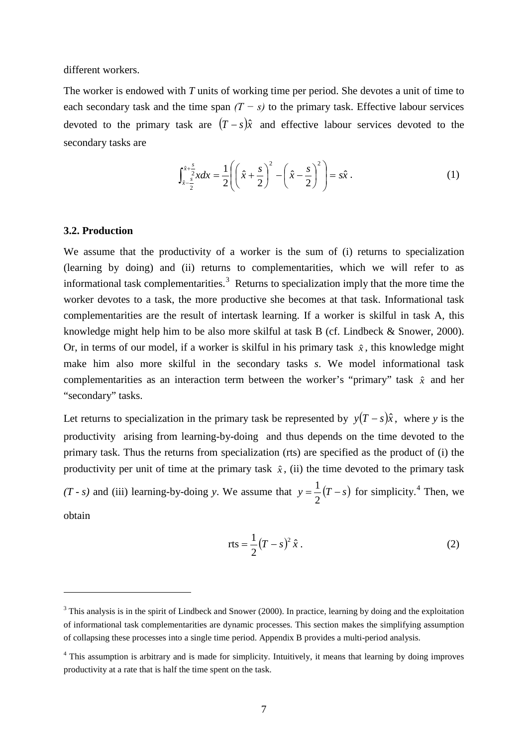different workers.

The worker is endowed with *T* units of working time per period. She devotes a unit of time to each secondary task and the time span  $(T - s)$  to the primary task. Effective labour services devoted to the primary task are  $(T - s)\hat{x}$  and effective labour services devoted to the secondary tasks are

$$
\int_{\hat{x} - \frac{s}{2}}^{\hat{x} + \frac{s}{2}} x dx = \frac{1}{2} \left( \left( \hat{x} + \frac{s}{2} \right)^2 - \left( \hat{x} - \frac{s}{2} \right)^2 \right) = s\hat{x} \,. \tag{1}
$$

#### **3.2. Production**

 $\overline{a}$ 

We assume that the productivity of a worker is the sum of (i) returns to specialization (learning by doing) and (ii) returns to complementarities, which we will refer to as informational task complementarities.<sup>[3](#page-5-0)</sup> Returns to specialization imply that the more time the worker devotes to a task, the more productive she becomes at that task. Informational task complementarities are the result of intertask learning. If a worker is skilful in task A, this knowledge might help him to be also more skilful at task B (cf. Lindbeck & Snower, 2000). Or, in terms of our model, if a worker is skilful in his primary task  $\hat{x}$ , this knowledge might make him also more skilful in the secondary tasks *s*. We model informational task complementarities as an interaction term between the worker's "primary" task *x*ˆ and her "secondary" tasks.

Let returns to specialization in the primary task be represented by  $y(T - s)\hat{x}$ , where *y* is the productivity arising from learning-by-doing and thus depends on the time devoted to the primary task. Thus the returns from specialization (rts) are specified as the product of (i) the productivity per unit of time at the primary task  $\hat{x}$ , (ii) the time devoted to the primary task *(T - s)* and (iii) learning-by-doing *y*. We assume that  $y = \frac{1}{2}(T - s)$  for simplicity.<sup>[4](#page-8-0)</sup> Then, we obtain

$$
rts = \frac{1}{2}(T - s)^2 \hat{x} \,. \tag{2}
$$

<sup>&</sup>lt;sup>3</sup> This analysis is in the spirit of Lindbeck and Snower (2000). In practice, learning by doing and the exploitation of informational task complementarities are dynamic processes. This section makes the simplifying assumption of collapsing these processes into a single time period. Appendix B provides a multi-period analysis.

<span id="page-8-0"></span><sup>&</sup>lt;sup>4</sup> This assumption is arbitrary and is made for simplicity. Intuitively, it means that learning by doing improves productivity at a rate that is half the time spent on the task.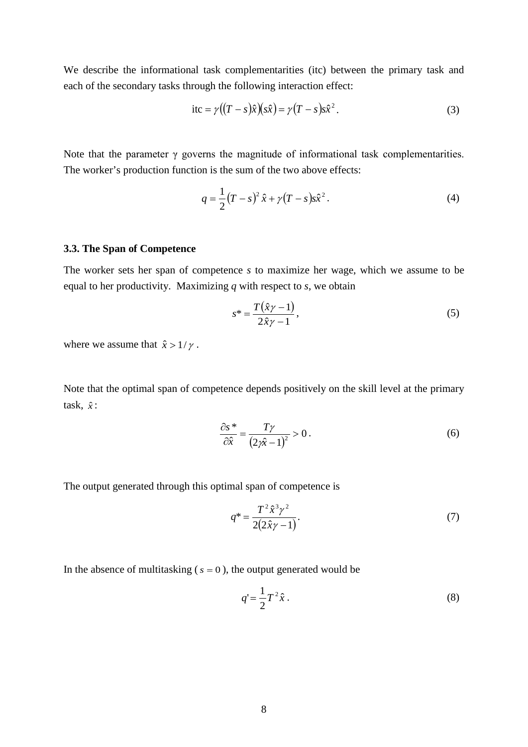We describe the informational task complementarities (itc) between the primary task and each of the secondary tasks through the following interaction effect:

$$
\text{itc} = \gamma((T - s)\hat{x})(s\hat{x}) = \gamma(T - s)s\hat{x}^{2}.
$$
 (3)

Note that the parameter  $\gamma$  governs the magnitude of informational task complementarities. The worker's production function is the sum of the two above effects:

$$
q = \frac{1}{2}(T - s)^2 \hat{x} + \gamma (T - s) s \hat{x}^2.
$$
 (4)

#### **3.3. The Span of Competence**

The worker sets her span of competence *s* to maximize her wage, which we assume to be equal to her productivity. Maximizing *q* with respect to *s*, we obtain

$$
s^* = \frac{T(\hat{x}\gamma - 1)}{2\hat{x}\gamma - 1},\tag{5}
$$

where we assume that  $\hat{x} > 1/\gamma$ .

Note that the optimal span of competence depends positively on the skill level at the primary task,  $\hat{x}$ :

$$
\frac{\partial s^*}{\partial \hat{x}} = \frac{T\gamma}{\left(2\hat{x} - 1\right)^2} > 0.
$$
\n(6)

The output generated through this optimal span of competence is

$$
q^* = \frac{T^2 \hat{x}^3 \gamma^2}{2(2\hat{x}\gamma - 1)}.
$$
 (7)

In the absence of multitasking  $(s = 0)$ , the output generated would be

$$
q' = \frac{1}{2}T^2\hat{x}.
$$
 (8)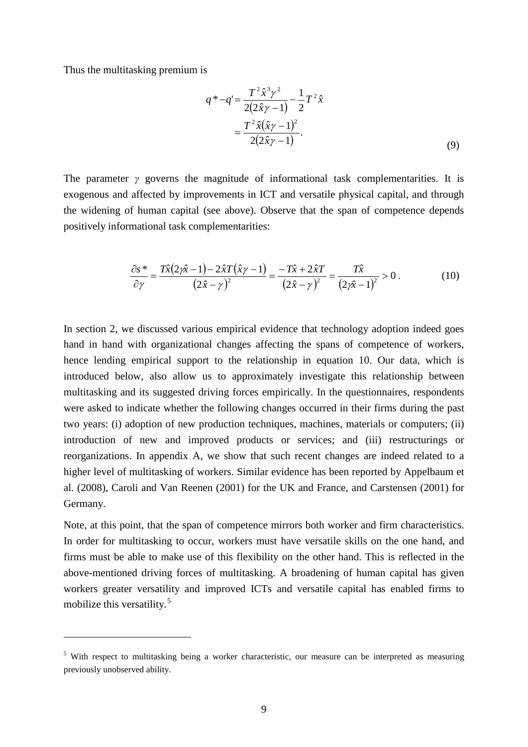Thus the multitasking premium is

<span id="page-10-0"></span> $\overline{a}$ 

$$
q^* - q' = \frac{T^2 \hat{x}^3 \gamma^2}{2(2\hat{x}\gamma - 1)} - \frac{1}{2} T^2 \hat{x}
$$
  
= 
$$
\frac{T^2 \hat{x} (\hat{x}\gamma - 1)^2}{2(2\hat{x}\gamma - 1)}.
$$
 (9)

The parameter *γ* governs the magnitude of informational task complementarities. It is exogenous and affected by improvements in ICT and versatile physical capital, and through the widening of human capital (see above). Observe that the span of competence depends positively informational task complementarities:

$$
\frac{\partial s^*}{\partial \gamma} = \frac{T\hat{x}(2\hat{x}-1) - 2\hat{x}T(\hat{x}\gamma - 1)}{(2\hat{x}-\gamma)^2} = \frac{-T\hat{x} + 2\hat{x}T}{(2\hat{x}-\gamma)^2} = \frac{T\hat{x}}{(2\hat{x}-1)^2} > 0.
$$
 (10)

In section 2, we discussed various empirical evidence that technology adoption indeed goes hand in hand with organizational changes affecting the spans of competence of workers, hence lending empirical support to the relationship in equation 10. Our data, which is introduced below, also allow us to approximately investigate this relationship between multitasking and its suggested driving forces empirically. In the questionnaires, respondents were asked to indicate whether the following changes occurred in their firms during the past two years: (i) adoption of new production techniques, machines, materials or computers; (ii) introduction of new and improved products or services; and (iii) restructurings or reorganizations. In appendix A, we show that such recent changes are indeed related to a higher level of multitasking of workers. Similar evidence has been reported by Appelbaum et al. (2008), Caroli and Van Reenen (2001) for the UK and France, and Carstensen (2001) for Germany.

Note, at this point, that the span of competence mirrors both worker and firm characteristics. In order for multitasking to occur, workers must have versatile skills on the one hand, and firms must be able to make use of this flexibility on the other hand. This is reflected in the above-mentioned driving forces of multitasking. A broadening of human capital has given workers greater versatility and improved ICTs and versatile capital has enabled firms to mobilize this versatility.<sup>[5](#page-8-0)</sup>

<sup>&</sup>lt;sup>5</sup> With respect to multitasking being a worker characteristic, our measure can be interpreted as measuring previously unobserved ability.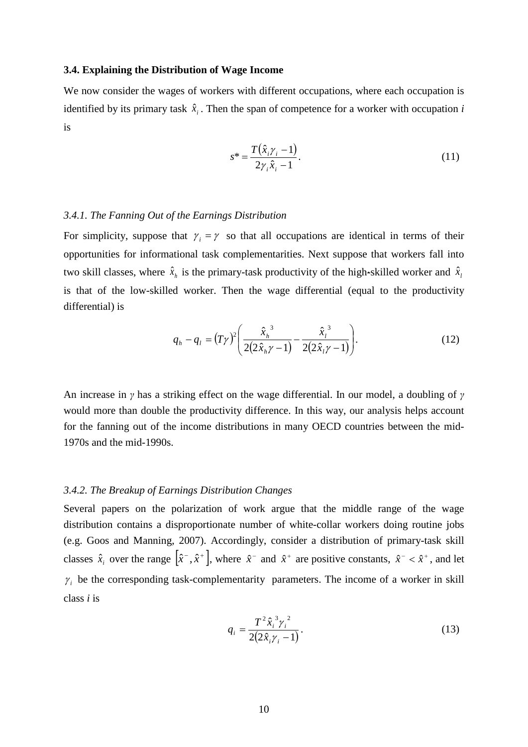#### **3.4. Explaining the Distribution of Wage Income**

We now consider the wages of workers with different occupations, where each occupation is identified by its primary task  $\hat{x}_i$ . Then the span of competence for a worker with occupation *i* is

$$
s^* = \frac{T(\hat{x}_i \gamma_i - 1)}{2\gamma_i \hat{x}_i - 1}.
$$
\n(11)

#### *3.4.1. The Fanning Out of the Earnings Distribution*

two skill classes, where  $\hat{x}_h$  is the primary-task productivity of the high-skilled worker and  $\hat{x}_l$ For simplicity, suppose that  $\gamma_i = \gamma$  so that all occupations are identical in terms of their opportunities for informational task complementarities. Next suppose that workers fall into is that of the low-skilled worker. Then the wage differential (equal to the productivity differential) is

$$
q_h - q_l = (T\gamma)^2 \left( \frac{\hat{x}_h^3}{2(2\hat{x}_h\gamma - 1)} - \frac{\hat{x}_l^3}{2(2\hat{x}_l\gamma - 1)} \right).
$$
 (12)

An increase in *γ* has a striking effect on the wage differential. In our model, a doubling of *γ* would more than double the productivity difference. In this way, our analysis helps account for the fanning out of the income distributions in many OECD countries between the mid-1970s and the mid-1990s.

#### *3.4.2. The Breakup of Earnings Distribution Changes*

Several papers on the polarization of work argue that the middle range of the wage distribution contains a disproportionate number of white-collar workers doing routine jobs (e.g. Goos and Manning, 2007). Accordingly, consider a distribution of primary-task skill classes  $\hat{x}_i$  over the range  $[\hat{x}^-, \hat{x}^+]$ , where  $\hat{x}^-$  and  $\hat{x}^+$  are positive constants,  $\hat{x}^- < \hat{x}^+$ , and let  $\gamma_i$  be the corresponding task-complementarity parameters. The income of a worker in skill class *i* is

$$
q_i = \frac{T^2 \hat{x}_i^3 \gamma_i^2}{2(2\hat{x}_i \gamma_i - 1)}.
$$
\n(13)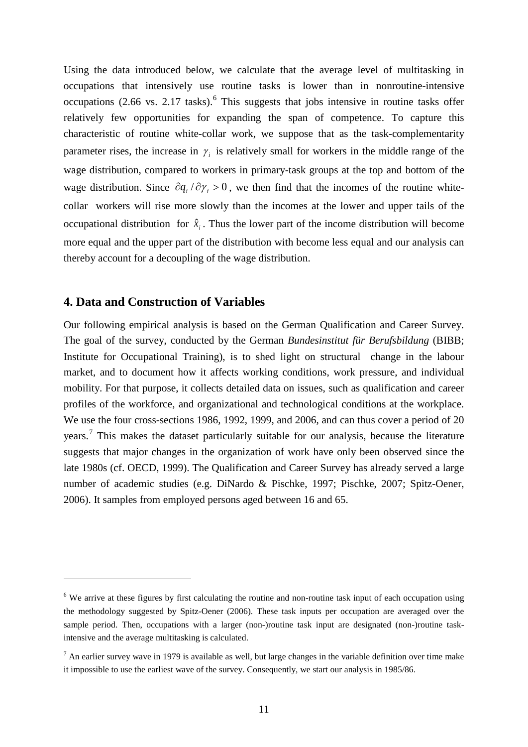Using the data introduced below, we calculate that the average level of multitasking in occupations that intensively use routine tasks is lower than in nonroutine-intensive occupations  $(2.66 \text{ vs. } 2.17 \text{ tasks})$  $(2.66 \text{ vs. } 2.17 \text{ tasks})$  $(2.66 \text{ vs. } 2.17 \text{ tasks})$ .<sup>6</sup> This suggests that jobs intensive in routine tasks offer relatively few opportunities for expanding the span of competence. To capture this characteristic of routine white-collar work, we suppose that as the task-complementarity parameter rises, the increase in  $\gamma_i$  is relatively small for workers in the middle range of the wage distribution, compared to workers in primary-task groups at the top and bottom of the wage distribution. Since  $\partial q_i / \partial \gamma_i > 0$ , we then find that the incomes of the routine whitecollar workers will rise more slowly than the incomes at the lower and upper tails of the occupational distribution for  $\hat{x}$ . Thus the lower part of the income distribution will become more equal and the upper part of the distribution with become less equal and our analysis can thereby account for a decoupling of the wage distribution.

#### **4. Data and Construction of Variables**

 $\overline{a}$ 

Our following empirical analysis is based on the German Qualification and Career Survey. The goal of the survey, conducted by the German *Bundesinstitut für Berufsbildung* (BIBB; Institute for Occupational Training), is to shed light on structural change in the labour market, and to document how it affects working conditions, work pressure, and individual mobility. For that purpose, it collects detailed data on issues, such as qualification and career profiles of the workforce, and organizational and technological conditions at the workplace. We use the four cross-sections 1986, 1992, 1999, and 2006, and can thus cover a period of 20 years.<sup>[7](#page-12-0)</sup> This makes the dataset particularly suitable for our analysis, because the literature suggests that major changes in the organization of work have only been observed since the late 1980s (cf. OECD, 1999). The Qualification and Career Survey has already served a large number of academic studies (e.g. DiNardo & Pischke, 1997; Pischke, 2007; Spitz-Oener, 2006). It samples from employed persons aged between 16 and 65.

<sup>&</sup>lt;sup>6</sup> We arrive at these figures by first calculating the routine and non-routine task input of each occupation using the methodology suggested by Spitz-Oener (2006). These task inputs per occupation are averaged over the sample period. Then, occupations with a larger (non-)routine task input are designated (non-)routine taskintensive and the average multitasking is calculated.

<span id="page-12-1"></span><span id="page-12-0"></span> $<sup>7</sup>$  An earlier survey wave in 1979 is available as well, but large changes in the variable definition over time make</sup> it impossible to use the earliest wave of the survey. Consequently, we start our analysis in 1985/86.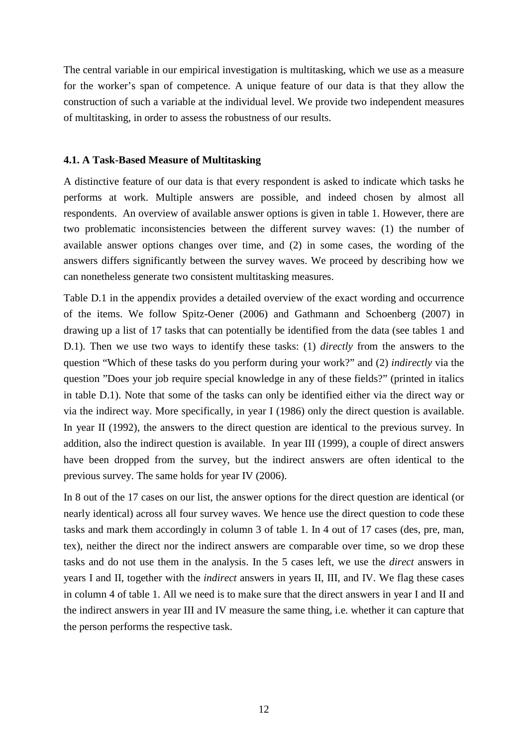The central variable in our empirical investigation is multitasking, which we use as a measure for the worker's span of competence. A unique feature of our data is that they allow the construction of such a variable at the individual level. We provide two independent measures of multitasking, in order to assess the robustness of our results.

#### **4.1. A Task-Based Measure of Multitasking**

A distinctive feature of our data is that every respondent is asked to indicate which tasks he performs at work. Multiple answers are possible, and indeed chosen by almost all respondents. An overview of available answer options is given in table 1. However, there are two problematic inconsistencies between the different survey waves: (1) the number of available answer options changes over time, and (2) in some cases, the wording of the answers differs significantly between the survey waves. We proceed by describing how we can nonetheless generate two consistent multitasking measures.

Table D.1 in the appendix provides a detailed overview of the exact wording and occurrence of the items. We follow Spitz-Oener (2006) and Gathmann and Schoenberg (2007) in drawing up a list of 17 tasks that can potentially be identified from the data (see tables 1 and D.1). Then we use two ways to identify these tasks: (1) *directly* from the answers to the question "Which of these tasks do you perform during your work?" and (2) *indirectly* via the question "Does your job require special knowledge in any of these fields?" (printed in italics in table D.1). Note that some of the tasks can only be identified either via the direct way or via the indirect way. More specifically, in year I (1986) only the direct question is available. In year II (1992), the answers to the direct question are identical to the previous survey. In addition, also the indirect question is available. In year III (1999), a couple of direct answers have been dropped from the survey, but the indirect answers are often identical to the previous survey. The same holds for year IV (2006).

In 8 out of the 17 cases on our list, the answer options for the direct question are identical (or nearly identical) across all four survey waves. We hence use the direct question to code these tasks and mark them accordingly in column 3 of table 1. In 4 out of 17 cases (des, pre, man, tex), neither the direct nor the indirect answers are comparable over time, so we drop these tasks and do not use them in the analysis. In the 5 cases left, we use the *direct* answers in years I and II, together with the *indirect* answers in years II, III, and IV. We flag these cases in column 4 of table 1. All we need is to make sure that the direct answers in year I and II and the indirect answers in year III and IV measure the same thing, i.e. whether it can capture that the person performs the respective task.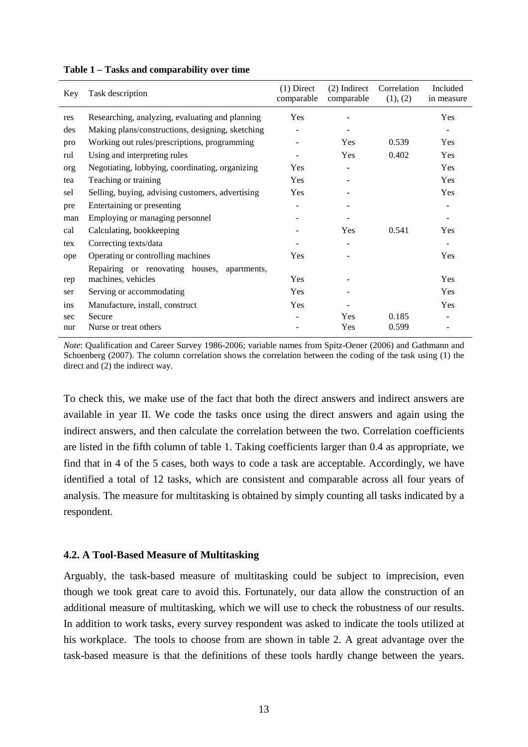| Key | Task description                                 | $(1)$ Direct<br>comparable | (2) Indirect<br>comparable | Correlation<br>(1), (2) | Included<br>in measure |
|-----|--------------------------------------------------|----------------------------|----------------------------|-------------------------|------------------------|
| res | Researching, analyzing, evaluating and planning  | Yes                        |                            |                         | Yes                    |
| des | Making plans/constructions, designing, sketching |                            | ÷,                         |                         |                        |
| pro | Working out rules/prescriptions, programming     | ٠                          | Yes                        | 0.539                   | Yes                    |
| rul | Using and interpreting rules                     |                            | Yes                        | 0.402                   | Yes                    |
| org | Negotiating, lobbying, coordinating, organizing  | <b>Yes</b>                 |                            |                         | Yes                    |
| tea | Teaching or training                             | Yes                        |                            |                         | Yes                    |
| sel | Selling, buying, advising customers, advertising | Yes                        |                            |                         | Yes                    |
| pre | Entertaining or presenting                       |                            |                            |                         |                        |
| man | Employing or managing personnel                  |                            | Ξ.                         |                         |                        |
| cal | Calculating, bookkeeping                         | $\overline{\phantom{a}}$   | <b>Yes</b>                 | 0.541                   | Yes                    |
| tex | Correcting texts/data                            |                            |                            |                         |                        |
| ope | Operating or controlling machines                | Yes                        |                            |                         | Yes                    |
|     | Repairing or renovating houses, apartments,      |                            |                            |                         |                        |
| rep | machines, vehicles                               | Yes                        |                            |                         | Yes                    |
| ser | Serving or accommodating                         | Yes                        |                            |                         | Yes                    |
| ins | Manufacture, install, construct                  | Yes                        | $\qquad \qquad -$          |                         | Yes                    |
| sec | Secure                                           |                            | <b>Yes</b>                 | 0.185                   |                        |
| nur | Nurse or treat others                            |                            | Yes                        | 0.599                   |                        |

#### **Table 1 – Tasks and comparability over time**

*Note*: Qualification and Career Survey 1986-2006; variable names from Spitz-Oener (2006) and Gathmann and Schoenberg (2007). The column correlation shows the correlation between the coding of the task using (1) the direct and (2) the indirect way.

To check this, we make use of the fact that both the direct answers and indirect answers are available in year II. We code the tasks once using the direct answers and again using the indirect answers, and then calculate the correlation between the two. Correlation coefficients are listed in the fifth column of table 1. Taking coefficients larger than 0.4 as appropriate, we find that in 4 of the 5 cases, both ways to code a task are acceptable. Accordingly, we have identified a total of 12 tasks, which are consistent and comparable across all four years of analysis. The measure for multitasking is obtained by simply counting all tasks indicated by a respondent.

#### **4.2. A Tool-Based Measure of Multitasking**

Arguably, the task-based measure of multitasking could be subject to imprecision, even though we took great care to avoid this. Fortunately, our data allow the construction of an additional measure of multitasking, which we will use to check the robustness of our results. In addition to work tasks, every survey respondent was asked to indicate the tools utilized at his workplace. The tools to choose from are shown in table 2. A great advantage over the task-based measure is that the definitions of these tools hardly change between the years.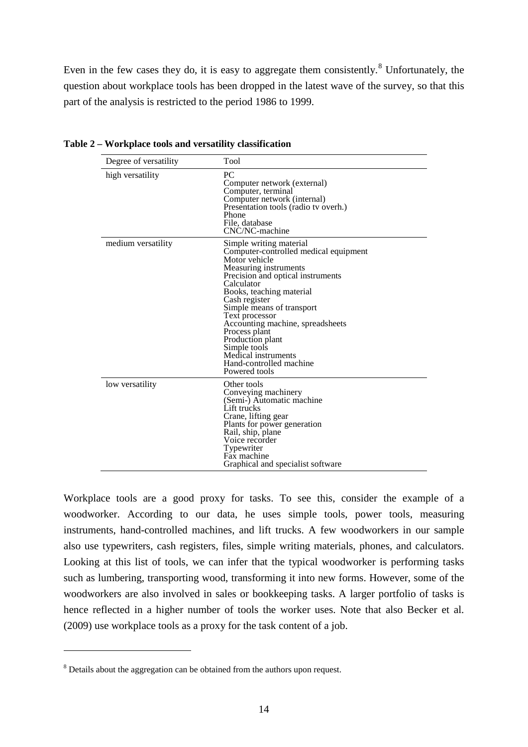Even in the few cases they do, it is easy to aggregate them consistently.<sup>[8](#page-12-1)</sup> Unfortunately, the question about workplace tools has been dropped in the latest wave of the survey, so that this part of the analysis is restricted to the period 1986 to 1999.

| Degree of versatility | Tool                                                                                                                                                                                                                                                                                                                                                                                                                  |
|-----------------------|-----------------------------------------------------------------------------------------------------------------------------------------------------------------------------------------------------------------------------------------------------------------------------------------------------------------------------------------------------------------------------------------------------------------------|
| high versatility      | PC.<br>Computer network (external)<br>Computer, terminal<br>Computer network (internal)<br>Presentation tools (radio tv overh.)<br>Phone<br>File, database<br>CNC/NC-machine                                                                                                                                                                                                                                          |
| medium versatility    | Simple writing material<br>Computer-controlled medical equipment<br>Motor vehicle<br>Measuring instruments<br>Precision and optical instruments<br>Calculator<br>Books, teaching material<br>Cash register<br>Simple means of transport<br>Text processor<br>Accounting machine, spreadsheets<br>Process plant<br>Production plant<br>Simple tools<br>Medical instruments<br>Hand-controlled machine<br>Powered tools |
| low versatility       | Other tools<br>Conveying machinery<br>(Semi-) Automatic machine<br>Lift trucks<br>Crane, lifting gear<br>Plants for power generation<br>Rail, ship, plane<br>Voice recorder<br>Typewriter<br>Fax machine<br>Graphical and specialist software                                                                                                                                                                         |

**Table 2 – Workplace tools and versatility classification**

<span id="page-15-0"></span>Workplace tools are a good proxy for tasks. To see this, consider the example of a woodworker. According to our data, he uses simple tools, power tools, measuring instruments, hand-controlled machines, and lift trucks. A few woodworkers in our sample also use typewriters, cash registers, files, simple writing materials, phones, and calculators. Looking at this list of tools, we can infer that the typical woodworker is performing tasks such as lumbering, transporting wood, transforming it into new forms. However, some of the woodworkers are also involved in sales or bookkeeping tasks. A larger portfolio of tasks is hence reflected in a higher number of tools the worker uses. Note that also Becker et al. (2009) use workplace tools as a proxy for the task content of a job.

 $\overline{a}$ 

<sup>&</sup>lt;sup>8</sup> Details about the aggregation can be obtained from the authors upon request.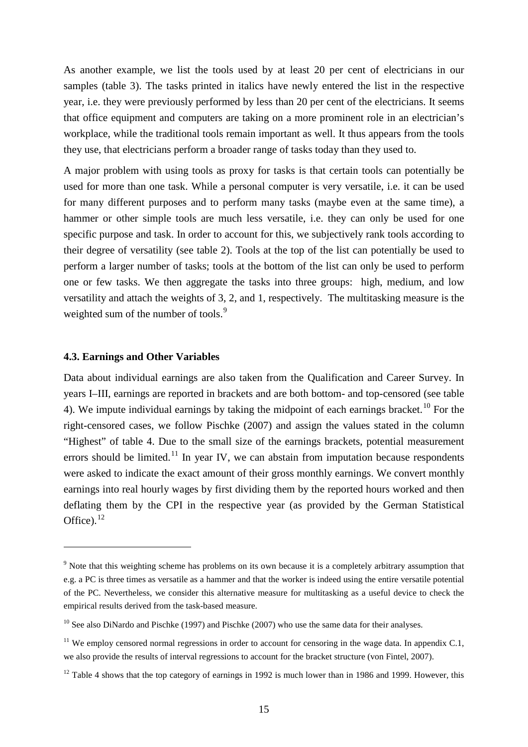As another example, we list the tools used by at least 20 per cent of electricians in our samples (table 3). The tasks printed in italics have newly entered the list in the respective year, i.e. they were previously performed by less than 20 per cent of the electricians. It seems that office equipment and computers are taking on a more prominent role in an electrician's workplace, while the traditional tools remain important as well. It thus appears from the tools they use, that electricians perform a broader range of tasks today than they used to.

A major problem with using tools as proxy for tasks is that certain tools can potentially be used for more than one task. While a personal computer is very versatile, i.e. it can be used for many different purposes and to perform many tasks (maybe even at the same time), a hammer or other simple tools are much less versatile, i.e. they can only be used for one specific purpose and task. In order to account for this, we subjectively rank tools according to their degree of versatility (see table 2). Tools at the top of the list can potentially be used to perform a larger number of tasks; tools at the bottom of the list can only be used to perform one or few tasks. We then aggregate the tasks into three groups: high, medium, and low versatility and attach the weights of 3, 2, and 1, respectively. The multitasking measure is the weighted sum of the number of tools.<sup>[9](#page-15-0)</sup>

#### **4.3. Earnings and Other Variables**

 $\overline{a}$ 

Data about individual earnings are also taken from the Qualification and Career Survey. In years I–III, earnings are reported in brackets and are both bottom- and top-censored (see table 4). We impute individual earnings by taking the midpoint of each earnings bracket.<sup>[10](#page-16-0)</sup> For the right-censored cases, we follow Pischke (2007) and assign the values stated in the column "Highest" of table 4. Due to the small size of the earnings brackets, potential measurement errors should be limited.<sup>[11](#page-16-1)</sup> In year IV, we can abstain from imputation because respondents were asked to indicate the exact amount of their gross monthly earnings. We convert monthly earnings into real hourly wages by first dividing them by the reported hours worked and then deflating them by the CPI in the respective year (as provided by the German Statistical Office). $^{12}$  $^{12}$  $^{12}$ 

<sup>&</sup>lt;sup>9</sup> Note that this weighting scheme has problems on its own because it is a completely arbitrary assumption that e.g. a PC is three times as versatile as a hammer and that the worker is indeed using the entire versatile potential of the PC. Nevertheless, we consider this alternative measure for multitasking as a useful device to check the empirical results derived from the task-based measure.

<span id="page-16-0"></span> $10$  See also DiNardo and Pischke (1997) and Pischke (2007) who use the same data for their analyses.

<span id="page-16-1"></span> $11$  We employ censored normal regressions in order to account for censoring in the wage data. In appendix C.1, we also provide the results of interval regressions to account for the bracket structure (von Fintel, 2007).

<span id="page-16-3"></span><span id="page-16-2"></span> $12$  Table 4 shows that the top category of earnings in 1992 is much lower than in 1986 and 1999. However, this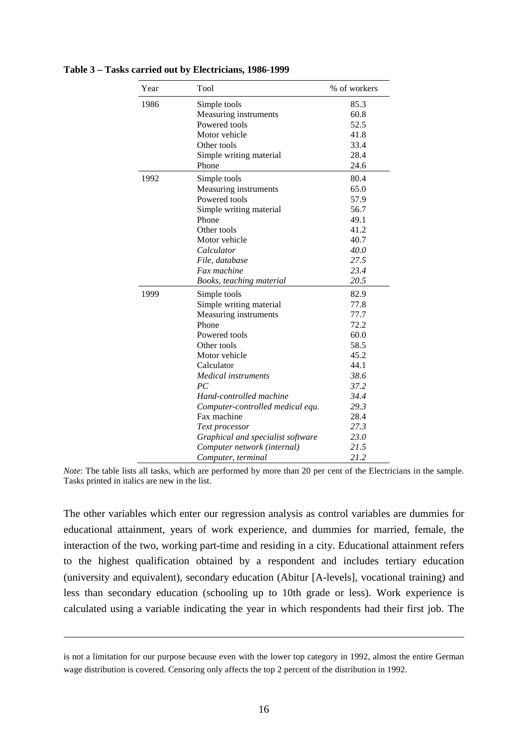| Year | Tool                              | % of workers |
|------|-----------------------------------|--------------|
| 1986 | Simple tools                      | 85.3         |
|      | Measuring instruments             | 60.8         |
|      | Powered tools                     | 52.5         |
|      | Motor vehicle                     | 41.8         |
|      | Other tools                       | 33.4         |
|      | Simple writing material           | 28.4         |
|      | Phone                             | 24.6         |
| 1992 | Simple tools                      | 80.4         |
|      | Measuring instruments             | 65.0         |
|      | Powered tools                     | 57.9         |
|      | Simple writing material           | 56.7         |
|      | Phone                             | 49.1         |
|      | Other tools                       | 41.2         |
|      | Motor vehicle                     | 40.7         |
|      | Calculator                        | 40.0         |
|      | File, database                    | 27.5         |
|      | Fax machine                       | 23.4         |
|      | Books, teaching material          | 20.5         |
| 1999 | Simple tools                      | 82.9         |
|      | Simple writing material           | 77.8         |
|      | Measuring instruments             | 77.7         |
|      | Phone                             | 72.2         |
|      | Powered tools                     | 60.0         |
|      | Other tools                       | 58.5         |
|      | Motor vehicle                     | 45.2         |
|      | Calculator                        | 44.1         |
|      | Medical instruments               | 38.6         |
|      | PC                                | 37.2         |
|      | Hand-controlled machine           | 34.4         |
|      | Computer-controlled medical equ.  | 29.3         |
|      | Fax machine                       | 28.4         |
|      | Text processor                    | 27.3         |
|      | Graphical and specialist software | 23.0         |
|      | Computer network (internal)       | 21.5         |
|      | Computer, terminal                | 21.2         |

**Table 3 – Tasks carried out by Electricians, 1986-1999**

*Note*: The table lists all tasks, which are performed by more than 20 per cent of the Electricians in the sample. Tasks printed in italics are new in the list.

The other variables which enter our regression analysis as control variables are dummies for educational attainment, years of work experience, and dummies for married, female, the interaction of the two, working part-time and residing in a city. Educational attainment refers to the highest qualification obtained by a respondent and includes tertiary education (university and equivalent), secondary education (Abitur [A-levels], vocational training) and less than secondary education (schooling up to 10th grade or less). Work experience is calculated using a variable indicating the year in which respondents had their first job. The

 $\overline{a}$ 

is not a limitation for our purpose because even with the lower top category in 1992, almost the entire German wage distribution is covered. Censoring only affects the top 2 percent of the distribution in 1992.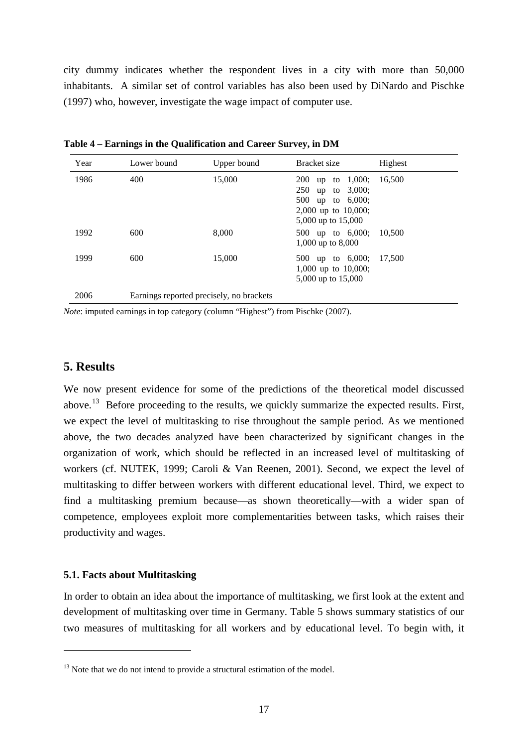city dummy indicates whether the respondent lives in a city with more than 50,000 inhabitants. A similar set of control variables has also been used by DiNardo and Pischke (1997) who, however, investigate the wage impact of computer use.

| Year | Lower bound | Upper bound                              | Bracket size                                                                                                            | Highest |
|------|-------------|------------------------------------------|-------------------------------------------------------------------------------------------------------------------------|---------|
| 1986 | 400         | 15,000                                   | $up$ to 1,000;<br><b>200</b><br>250<br>up to $3,000$ ;<br>500 up to 6,000;<br>2,000 up to 10,000;<br>5,000 up to 15,000 | 16,500  |
| 1992 | 600         | 8,000                                    | 500 up to 6,000;<br>1,000 up to 8,000                                                                                   | 10,500  |
| 1999 | 600         | 15,000                                   | 500 up to 6,000;<br>1,000 up to 10,000;<br>5,000 up to 15,000                                                           | 17,500  |
| 2006 |             | Earnings reported precisely, no brackets |                                                                                                                         |         |

**Table 4 – Earnings in the Qualification and Career Survey, in DM**

*Note*: imputed earnings in top category (column "Highest") from Pischke (2007).

### **5. Results**

We now present evidence for some of the predictions of the theoretical model discussed above.<sup>[13](#page-16-3)</sup> Before proceeding to the results, we quickly summarize the expected results. First, we expect the level of multitasking to rise throughout the sample period. As we mentioned above, the two decades analyzed have been characterized by significant changes in the organization of work, which should be reflected in an increased level of multitasking of workers (cf. NUTEK, 1999; Caroli & Van Reenen, 2001). Second, we expect the level of multitasking to differ between workers with different educational level. Third, we expect to find a multitasking premium because—as shown theoretically—with a wider span of competence, employees exploit more complementarities between tasks, which raises their productivity and wages.

#### <span id="page-18-0"></span>**5.1. Facts about Multitasking**

 $\overline{a}$ 

In order to obtain an idea about the importance of multitasking, we first look at the extent and development of multitasking over time in Germany. Table 5 shows summary statistics of our two measures of multitasking for all workers and by educational level. To begin with, it

 $13$  Note that we do not intend to provide a structural estimation of the model.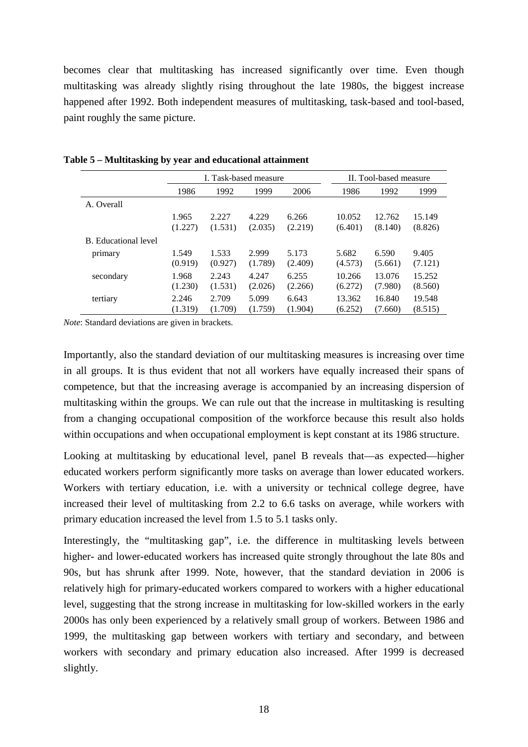becomes clear that multitasking has increased significantly over time. Even though multitasking was already slightly rising throughout the late 1980s, the biggest increase happened after 1992. Both independent measures of multitasking, task-based and tool-based, paint roughly the same picture.

|                      | I. Task-based measure |                  |                  |                  |                   | II. Tool-based measure |                   |  |
|----------------------|-----------------------|------------------|------------------|------------------|-------------------|------------------------|-------------------|--|
|                      | 1986                  | 1992             | 1999             | 2006             | 1986              | 1992                   | 1999              |  |
| A. Overall           |                       |                  |                  |                  |                   |                        |                   |  |
|                      | 1.965                 | 2.227            | 4.229            | 6.266            | 10.052            | 12.762                 | 15.149            |  |
|                      | (1.227)               | (1.531)          | (2.035)          | (2.219)          | (6.401)           | (8.140)                | (8.826)           |  |
| B. Educational level |                       |                  |                  |                  |                   |                        |                   |  |
| primary              | 1.549<br>(0.919)      | 1.533<br>(0.927) | 2.999<br>(1.789) | 5.173<br>(2.409) | 5.682<br>(4.573)  | 6.590<br>(5.661)       | 9.405<br>(7.121)  |  |
| secondary            | 1.968<br>(1.230)      | 2.243<br>(1.531) | 4.247<br>(2.026) | 6.255<br>(2.266) | 10.266<br>(6.272) | 13.076<br>(7.980)      | 15.252<br>(8.560) |  |
| tertiary             | 2.246<br>(1.319)      | 2.709<br>(1.709) | 5.099<br>(1.759) | 6.643<br>(1.904) | 13.362<br>(6.252) | 16.840<br>(7.660)      | 19.548<br>(8.515) |  |

#### **Table 5 – Multitasking by year and educational attainment**

*Note*: Standard deviations are given in brackets.

Importantly, also the standard deviation of our multitasking measures is increasing over time in all groups. It is thus evident that not all workers have equally increased their spans of competence, but that the increasing average is accompanied by an increasing dispersion of multitasking within the groups. We can rule out that the increase in multitasking is resulting from a changing occupational composition of the workforce because this result also holds within occupations and when occupational employment is kept constant at its 1986 structure.

Looking at multitasking by educational level, panel B reveals that—as expected—higher educated workers perform significantly more tasks on average than lower educated workers. Workers with tertiary education, i.e. with a university or technical college degree, have increased their level of multitasking from 2.2 to 6.6 tasks on average, while workers with primary education increased the level from 1.5 to 5.1 tasks only.

Interestingly, the "multitasking gap", i.e. the difference in multitasking levels between higher- and lower-educated workers has increased quite strongly throughout the late 80s and 90s, but has shrunk after 1999. Note, however, that the standard deviation in 2006 is relatively high for primary-educated workers compared to workers with a higher educational level, suggesting that the strong increase in multitasking for low-skilled workers in the early 2000s has only been experienced by a relatively small group of workers. Between 1986 and 1999, the multitasking gap between workers with tertiary and secondary, and between workers with secondary and primary education also increased. After 1999 is decreased slightly.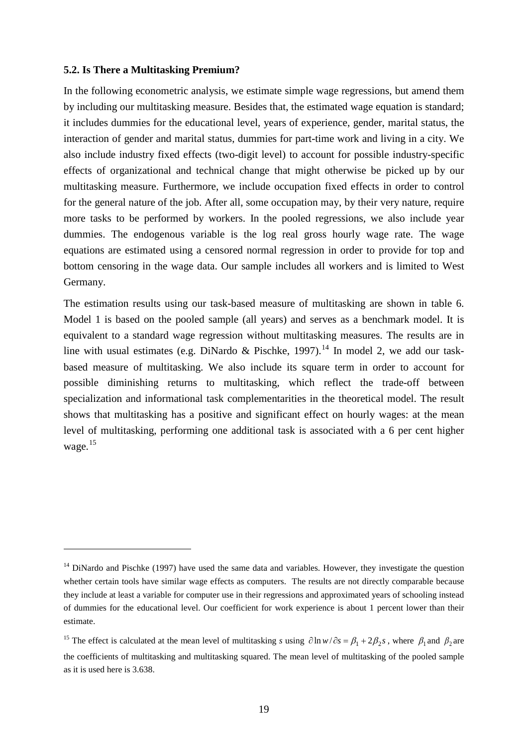#### **5.2. Is There a Multitasking Premium?**

 $\overline{a}$ 

In the following econometric analysis, we estimate simple wage regressions, but amend them by including our multitasking measure. Besides that, the estimated wage equation is standard; it includes dummies for the educational level, years of experience, gender, marital status, the interaction of gender and marital status, dummies for part-time work and living in a city. We also include industry fixed effects (two-digit level) to account for possible industry-specific effects of organizational and technical change that might otherwise be picked up by our multitasking measure. Furthermore, we include occupation fixed effects in order to control for the general nature of the job. After all, some occupation may, by their very nature, require more tasks to be performed by workers. In the pooled regressions, we also include year dummies. The endogenous variable is the log real gross hourly wage rate. The wage equations are estimated using a censored normal regression in order to provide for top and bottom censoring in the wage data. Our sample includes all workers and is limited to West Germany.

The estimation results using our task-based measure of multitasking are shown in table 6. Model 1 is based on the pooled sample (all years) and serves as a benchmark model. It is equivalent to a standard wage regression without multitasking measures. The results are in line with usual estimates (e.g. DiNardo & Pischke, 1997).<sup>[14](#page-18-0)</sup> In model 2, we add our taskbased measure of multitasking. We also include its square term in order to account for possible diminishing returns to multitasking, which reflect the trade-off between specialization and informational task complementarities in the theoretical model. The result shows that multitasking has a positive and significant effect on hourly wages: at the mean level of multitasking, performing one additional task is associated with a 6 per cent higher wage.[15](#page-20-0)

<sup>&</sup>lt;sup>14</sup> DiNardo and Pischke (1997) have used the same data and variables. However, they investigate the question whether certain tools have similar wage effects as computers. The results are not directly comparable because they include at least a variable for computer use in their regressions and approximated years of schooling instead of dummies for the educational level. Our coefficient for work experience is about 1 percent lower than their estimate.

<span id="page-20-1"></span><span id="page-20-0"></span><sup>&</sup>lt;sup>15</sup> The effect is calculated at the mean level of multitasking *s* using  $\partial \ln w / \partial s = \beta_1 + 2\beta_2 s$ , where  $\beta_1$  and  $\beta_2$  are the coefficients of multitasking and multitasking squared. The mean level of multitasking of the pooled sample as it is used here is 3.638.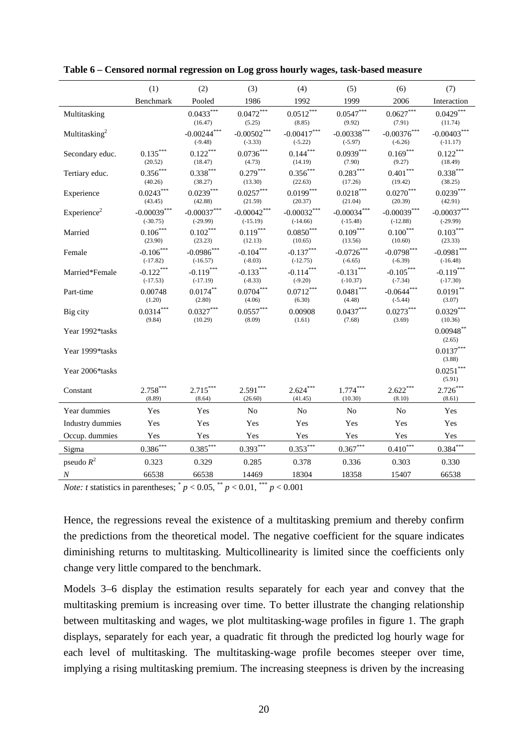|                           | (1)                                    | (2)                         | (3)                               | (4)                         | (5)                               | (6)                                | (7)                         |
|---------------------------|----------------------------------------|-----------------------------|-----------------------------------|-----------------------------|-----------------------------------|------------------------------------|-----------------------------|
|                           | Benchmark                              | Pooled                      | 1986                              | 1992                        | 1999                              | 2006                               | Interaction                 |
| Multitasking              |                                        | $0.0433***$<br>(16.47)      | $0.0472***$<br>(5.25)             | $0.0512***$<br>(8.85)       | $0.0547***$<br>(9.92)             | $0.0627***$<br>(7.91)              | $0.0429***$<br>(11.74)      |
| Multitasking <sup>2</sup> |                                        | $-0.00244***$<br>$(-9.48)$  | $-0.00502***$<br>$(-3.33)$        | $-0.00417***$<br>$(-5.22)$  | $-0.00338***$<br>$(-5.97)$        | $-0.00376$ ***<br>$(-6.26)$        | $-0.00403***$<br>$(-11.17)$ |
| Secondary educ.           | $0.135***$<br>(20.52)                  | $0.122***$<br>(18.47)       | $0.0736^{\ast\ast\ast}$<br>(4.73) | $0.144***$<br>(14.19)       | $0.0939***$<br>(7.90)             | $0.169^{\ast\ast\ast}$<br>(9.27)   | $0.122***$<br>(18.49)       |
| Tertiary educ.            | $0.356\sp{*}{^\ast\sp{*}}$<br>(40.26)  | $0.338***$<br>(38.27)       | $0.279***$<br>(13.30)             | $0.356***$<br>(22.63)       | $0.283***$<br>(17.26)             | $0.401***$<br>(19.42)              | $0.338***$<br>(38.25)       |
| Experience                | $0.0243***$<br>(43.45)                 | $0.0239***$<br>(42.88)      | $0.0257***$<br>(21.59)            | $0.0199***$<br>(20.37)      | $0.0218***$<br>(21.04)            | $0.0270^{\ast\ast\ast}$<br>(20.39) | $0.0239***$<br>(42.91)      |
| Experience <sup>2</sup>   | $-0.00039***$<br>$(-30.75)$            | $-0.00037***$<br>$(-29.99)$ | $-0.00042***$<br>$(-15.19)$       | $-0.00032***$<br>$(-14.66)$ | $-0.00034***$<br>$(-15.48)$       | $-0.00039***$<br>$(-12.88)$        | $-0.00037***$<br>$(-29.99)$ |
| Married                   | $0.106\sp{*}{^\ast\sp{*}}}$<br>(23.90) | $0.102***$<br>(23.23)       | $0.119***$<br>(12.13)             | $0.0850***$<br>(10.65)      | $0.109***$<br>(13.56)             | $0.100***$<br>(10.60)              | $0.103***$<br>(23.33)       |
| Female                    | $-0.106***$<br>$(-17.82)$              | $-0.0986$ ***<br>$(-16.57)$ | $-0.104***$<br>$(-8.03)$          | $-0.137***$<br>$(-12.75)$   | $-0.0726***$<br>$(-6.65)$         | $-0.0798***$<br>$(-6.39)$          | $-0.0981$ ***<br>$(-16.48)$ |
| Married*Female            | $-0.122***$<br>$(-17.53)$              | $-0.119***$<br>$(-17.19)$   | $-0.133***$<br>$(-8.33)$          | $-0.114***$<br>$(-9.20)$    | $-0.131***$<br>$(-10.37)$         | $-0.105***$<br>$(-7.34)$           | $-0.119***$<br>$(-17.30)$   |
| Part-time                 | 0.00748<br>(1.20)                      | $0.0174^{**}$<br>(2.80)     | $0.0704^{***}\,$<br>(4.06)        | $0.0712***$<br>(6.30)       | $0.0481^{\ast\ast\ast}$<br>(4.48) | $-0.0644$ ***<br>$(-5.44)$         | $0.0191***$<br>(3.07)       |
| Big city                  | $0.0314***$<br>(9.84)                  | $0.0327***$<br>(10.29)      | $0.0557***$<br>(8.09)             | 0.00908<br>(1.61)           | $0.0437***$<br>(7.68)             | $0.0273***$<br>(3.69)              | $0.0329***$<br>(10.36)      |
| Year 1992*tasks           |                                        |                             |                                   |                             |                                   |                                    | $0.00948$ **<br>(2.65)      |
| Year 1999*tasks           |                                        |                             |                                   |                             |                                   |                                    | $0.0137***$<br>(3.88)       |
| Year 2006*tasks           |                                        |                             |                                   |                             |                                   |                                    | $0.0251***$<br>(5.91)       |
| Constant                  | $2.758^{\ast\ast\ast}$<br>(8.89)       | $2.715***$<br>(8.64)        | $2.591***$<br>(26.60)             | $2.624***$<br>(41.45)       | $1.774***$<br>(10.30)             | $2.622***$<br>(8.10)               | $2.726***$<br>(8.61)        |
| Year dummies              | Yes                                    | Yes                         | No                                | No                          | No                                | No                                 | Yes                         |
| Industry dummies          | Yes                                    | Yes                         | Yes                               | Yes                         | Yes                               | Yes                                | Yes                         |
| Occup. dummies            | Yes                                    | Yes                         | Yes                               | Yes                         | Yes                               | Yes                                | Yes                         |
| Sigma                     | $0.386***$                             | $0.385***$                  | $0.393***$                        | $0.353***$                  | $0.367***$                        | $0.410***$                         | $0.384***$                  |
| pseudo $R^2$              | 0.323                                  | 0.329                       | 0.285                             | 0.378                       | 0.336                             | 0.303                              | 0.330                       |
| $\boldsymbol{N}$          | 66538                                  | 66538                       | 14469                             | 18304                       | 18358                             | 15407                              | 66538                       |

**Table 6 – Censored normal regression on Log gross hourly wages, task-based measure**

*Note: t* statistics in parentheses;  $p < 0.05$ ,  $p < 0.01$ ,  $p < 0.001$ 

Hence, the regressions reveal the existence of a multitasking premium and thereby confirm the predictions from the theoretical model. The negative coefficient for the square indicates diminishing returns to multitasking. Multicollinearity is limited since the coefficients only change very little compared to the benchmark.

Models 3–6 display the estimation results separately for each year and convey that the multitasking premium is increasing over time. To better illustrate the changing relationship between multitasking and wages, we plot multitasking-wage profiles in figure 1. The graph displays, separately for each year, a quadratic fit through the predicted log hourly wage for each level of multitasking. The multitasking-wage profile becomes steeper over time, implying a rising multitasking premium. The increasing steepness is driven by the increasing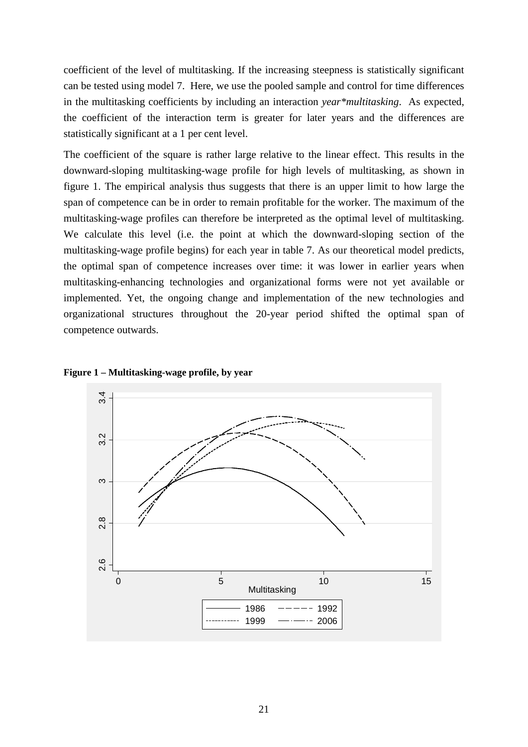coefficient of the level of multitasking. If the increasing steepness is statistically significant can be tested using model 7. Here, we use the pooled sample and control for time differences in the multitasking coefficients by including an interaction *year\*multitasking*. As expected, the coefficient of the interaction term is greater for later years and the differences are statistically significant at a 1 per cent level.

The coefficient of the square is rather large relative to the linear effect. This results in the downward-sloping multitasking-wage profile for high levels of multitasking, as shown in figure 1. The empirical analysis thus suggests that there is an upper limit to how large the span of competence can be in order to remain profitable for the worker. The maximum of the multitasking-wage profiles can therefore be interpreted as the optimal level of multitasking. We calculate this level (i.e. the point at which the downward-sloping section of the multitasking-wage profile begins) for each year in table 7. As our theoretical model predicts, the optimal span of competence increases over time: it was lower in earlier years when multitasking-enhancing technologies and organizational forms were not yet available or implemented. Yet, the ongoing change and implementation of the new technologies and organizational structures throughout the 20-year period shifted the optimal span of competence outwards.



**Figure 1 – Multitasking-wage profile, by year**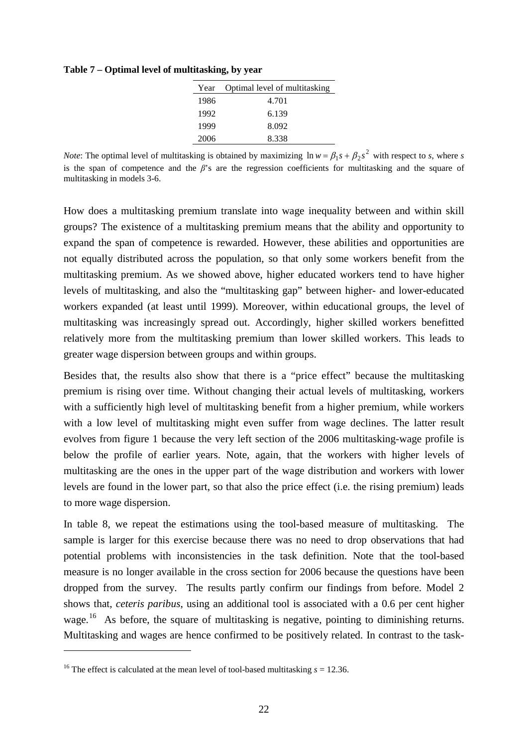**Table 7 – Optimal level of multitasking, by year**

| Year | Optimal level of multitasking |
|------|-------------------------------|
| 1986 | 4.701                         |
| 1992 | 6.139                         |
| 1999 | 8.092                         |
| 2006 | 8.338                         |

*Note*: The optimal level of multitasking is obtained by maximizing  $\ln w = \beta_1 s + \beta_2 s^2$  with respect to *s*, where *s* is the span of competence and the  $\beta$ 's are the regression coefficients for multitasking and the square of multitasking in models 3-6.

How does a multitasking premium translate into wage inequality between and within skill groups? The existence of a multitasking premium means that the ability and opportunity to expand the span of competence is rewarded. However, these abilities and opportunities are not equally distributed across the population, so that only some workers benefit from the multitasking premium. As we showed above, higher educated workers tend to have higher levels of multitasking, and also the "multitasking gap" between higher- and lower-educated workers expanded (at least until 1999). Moreover, within educational groups, the level of multitasking was increasingly spread out. Accordingly, higher skilled workers benefitted relatively more from the multitasking premium than lower skilled workers. This leads to greater wage dispersion between groups and within groups.

Besides that, the results also show that there is a "price effect" because the multitasking premium is rising over time. Without changing their actual levels of multitasking, workers with a sufficiently high level of multitasking benefit from a higher premium, while workers with a low level of multitasking might even suffer from wage declines. The latter result evolves from figure 1 because the very left section of the 2006 multitasking-wage profile is below the profile of earlier years. Note, again, that the workers with higher levels of multitasking are the ones in the upper part of the wage distribution and workers with lower levels are found in the lower part, so that also the price effect (i.e. the rising premium) leads to more wage dispersion.

In table 8, we repeat the estimations using the tool-based measure of multitasking. The sample is larger for this exercise because there was no need to drop observations that had potential problems with inconsistencies in the task definition. Note that the tool-based measure is no longer available in the cross section for 2006 because the questions have been dropped from the survey. The results partly confirm our findings from before. Model 2 shows that, *ceteris paribus*, using an additional tool is associated with a 0.6 per cent higher wage.<sup>16</sup> As before, the square of multitasking is negative, pointing to diminishing returns. Multitasking and wages are hence confirmed to be positively related. In contrast to the task-

<span id="page-23-0"></span> $\overline{a}$ 

<sup>&</sup>lt;sup>16</sup> The effect is calculated at the mean level of tool-based multitasking  $s = 12.36$ .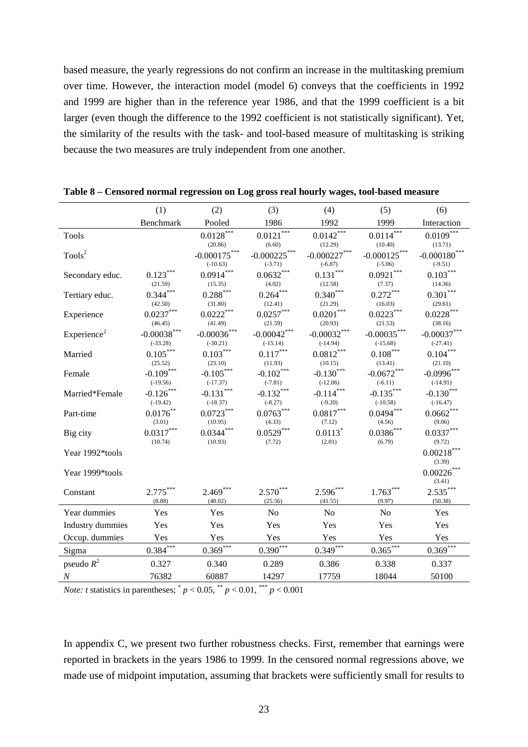based measure, the yearly regressions do not confirm an increase in the multitasking premium over time. However, the interaction model (model 6) conveys that the coefficients in 1992 and 1999 are higher than in the reference year 1986, and that the 1999 coefficient is a bit larger (even though the difference to the 1992 coefficient is not statistically significant). Yet, the similarity of the results with the task- and tool-based measure of multitasking is striking because the two measures are truly independent from one another.

|                         | (1)                                         | (2)                                | (3)                                | (4)                                | (5)                                  | (6)                                |
|-------------------------|---------------------------------------------|------------------------------------|------------------------------------|------------------------------------|--------------------------------------|------------------------------------|
|                         | Benchmark                                   | Pooled                             | 1986                               | 1992                               | 1999                                 | Interaction                        |
| Tools                   |                                             | $0.0128^{***}$<br>(20.86)          | $0.0121$ <sup>***</sup><br>(6.60)  | $0.0142^\mathrm{***}$<br>(12.29)   | $0.0114^{***}\,$<br>(10.40)          | $0.0109^{***}\,$<br>(13.71)        |
| Tools <sup>2</sup>      |                                             | $-0.000175***$<br>$(-10.63)$       | $-0.000225***$<br>$(-3.71)$        | $-0.000227***$<br>$(-6.87)$        | $-0.000125***$<br>$(-5.06)$          | $-0.000180^{***}$<br>$(-9.51)$     |
| Secondary educ.         | $0.123^\ast{}^{\ast}{}^{\ast}{}$<br>(21.59) | $0.0914^{***}\,$<br>(15.35)        | $0.0632***$<br>(4.02)              | $0.131***$<br>(12.58)              | $0.0921***$<br>(7.37)                | $0.103***$<br>(14.36)              |
| Tertiary educ.          | $0.344***$<br>(42.50)                       | $0.288^{\ast\ast\ast}$<br>(31.80)  | $0.264\sp{***}$<br>(12.41)         | $0.340***$<br>(21.29)              | $0.272***$<br>(16.03)                | $0.301***$<br>(29.61)              |
| Experience              | $0.0237***$<br>(46.45)                      | $0.0222^{***}$<br>(41.49)          | $0.0257^{\ast\ast\ast}$<br>(21.59) | $0.0201\sp{***}$<br>(20.93)        | ${0.0223}^{\ast\ast\ast}$<br>(21.53) | $0.0228^{\ast\ast\ast}$<br>(38.16) |
| Experience <sup>2</sup> | $\textbf{-0.00038}^{***}$<br>$(-33.28)$     | $-0.00036***$<br>$(-30.21)$        | $-0.00042***$<br>$(-15.14)$        | $-0.00032***$<br>$(-14.94)$        | $-0.00035***$<br>$(-15.68)$          | $-0.00037***$<br>$(-27.41)$        |
| Married                 | $0.105^{\ast\ast\ast}$<br>(25.52)           | $0.103^{\ast\ast\ast}$<br>(23.10)  | $0.117^{\ast\ast\ast}$<br>(11.93)  | $0.0812^{\ast\ast\ast}$<br>(10.15) | $0.108***$<br>(13.41)                | $0.104***$<br>(21.10)              |
| Female                  | $-0.109***$<br>$(-19.56)$                   | $-0.105***$<br>$(-17.37)$          | $-0.102***$<br>$(-7.81)$           | $-0.130***$<br>$(-12.06)$          | $-0.0672***$<br>$(-6.11)$            | $-0.0996$ ***<br>$(-14.91)$        |
| Married*Female          | $-0.126***$<br>$(-19.42)$                   | $-0.131***$<br>$(-18.37)$          | $-0.132***$<br>$(-8.27)$           | $-0.114***$<br>$(-9.20)$           | $-0.135***$<br>$(-10.58)$            | $-0.130***$<br>$(-16.47)$          |
| Part-time               | $0.0176^{\ast\ast}$<br>(3.01)               | $0.0723^{\ast\ast\ast}$<br>(10.95) | $0.0763***$<br>(4.33)              | $0.0817^{\ast\ast\ast}$<br>(7.12)  | $0.0494***$<br>(4.56)                | $0.0662\sp{***}$<br>(9.06)         |
| Big city                | $0.0317***$<br>(10.74)                      | $0.0344^{***}\,$<br>(10.93)        | $0.0529***$<br>(7.72)              | $0.0113$ <sup>*</sup><br>(2.01)    | $0.0386\sp{*}{\ast}\sp{*}$<br>(6.79) | $0.0337^{\ast\ast\ast}$<br>(9.72)  |
| Year 1992*tools         |                                             |                                    |                                    |                                    |                                      | $0.00218^{***}\,$<br>(3.39)        |
| Year 1999*tools         |                                             |                                    |                                    |                                    |                                      | $0.00226^{***}\,$<br>(3.41)        |
| Constant                | $2.775***$<br>(8.88)                        | $2.469***$<br>(48.02)              | $2.570***$<br>(25.56)              | $2.596***$<br>(41.55)              | $1.763***$<br>(9.97)                 | $2.535***$<br>(50.38)              |
| Year dummies            | Yes                                         | Yes                                | N <sub>o</sub>                     | N <sub>o</sub>                     | N <sub>o</sub>                       | Yes                                |
| Industry dummies        | Yes                                         | Yes                                | Yes                                | Yes                                | Yes                                  | Yes                                |
| Occup. dummies          | Yes                                         | Yes                                | Yes                                | Yes                                | Yes                                  | Yes                                |
| Sigma                   | $0.384$ ***                                 | $0.369$ ***                        | $0.390***$                         | $0.349$ ***                        | $0.365$ ***                          | $0.369***$                         |
| pseudo $R^2$            | 0.327                                       | 0.340                              | 0.289                              | 0.386                              | 0.338                                | 0.337                              |
| $\boldsymbol{N}$        | 76382                                       | 60887                              | 14297                              | 17759                              | 18044                                | 50100                              |

**Table 8 – Censored normal regression on Log gross real hourly wages, tool-based measure**

*Note: t* statistics in parentheses;  $p < 0.05$ ,  $p < 0.01$ ,  $p < 0.001$ 

In appendix C, we present two further robustness checks. First, remember that earnings were reported in brackets in the years 1986 to 1999. In the censored normal regressions above, we made use of midpoint imputation, assuming that brackets were sufficiently small for results to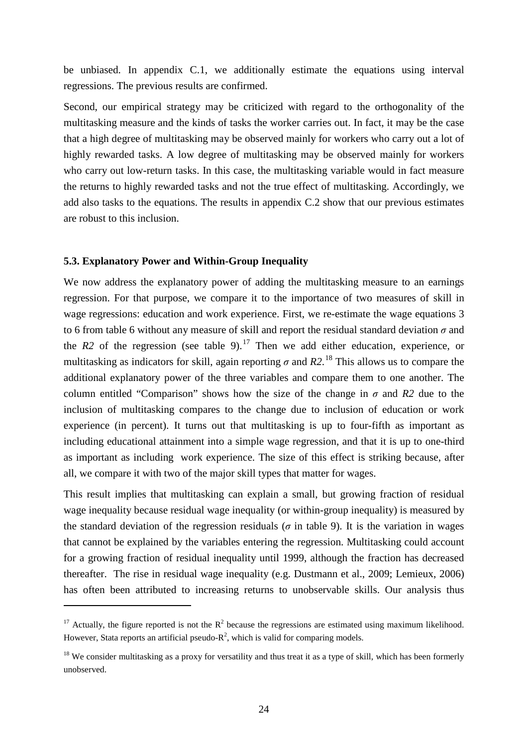be unbiased. In appendix C.1, we additionally estimate the equations using interval regressions. The previous results are confirmed.

Second, our empirical strategy may be criticized with regard to the orthogonality of the multitasking measure and the kinds of tasks the worker carries out. In fact, it may be the case that a high degree of multitasking may be observed mainly for workers who carry out a lot of highly rewarded tasks. A low degree of multitasking may be observed mainly for workers who carry out low-return tasks. In this case, the multitasking variable would in fact measure the returns to highly rewarded tasks and not the true effect of multitasking. Accordingly, we add also tasks to the equations. The results in appendix C.2 show that our previous estimates are robust to this inclusion.

#### **5.3. Explanatory Power and Within-Group Inequality**

 $\overline{a}$ 

We now address the explanatory power of adding the multitasking measure to an earnings regression. For that purpose, we compare it to the importance of two measures of skill in wage regressions: education and work experience. First, we re-estimate the wage equations 3 to 6 from table 6 without any measure of skill and report the residual standard deviation *σ* and the *R2* of the regression (see table 9).<sup>[17](#page-23-0)</sup> Then we add either education, experience, or multitasking as indicators for skill, again reporting *σ* and *R2*. [18](#page-25-0) This allows us to compare the additional explanatory power of the three variables and compare them to one another. The column entitled "Comparison" shows how the size of the change in  $\sigma$  and  $R2$  due to the inclusion of multitasking compares to the change due to inclusion of education or work experience (in percent). It turns out that multitasking is up to four-fifth as important as including educational attainment into a simple wage regression, and that it is up to one-third as important as including work experience. The size of this effect is striking because, after all, we compare it with two of the major skill types that matter for wages.

This result implies that multitasking can explain a small, but growing fraction of residual wage inequality because residual wage inequality (or within-group inequality) is measured by the standard deviation of the regression residuals ( $\sigma$  in table 9). It is the variation in wages that cannot be explained by the variables entering the regression. Multitasking could account for a growing fraction of residual inequality until 1999, although the fraction has decreased thereafter. The rise in residual wage inequality (e.g. Dustmann et al., 2009; Lemieux, 2006) has often been attributed to increasing returns to unobservable skills. Our analysis thus

<sup>&</sup>lt;sup>17</sup> Actually, the figure reported is not the  $R^2$  because the regressions are estimated using maximum likelihood. However, Stata reports an artificial pseudo- $R^2$ , which is valid for comparing models.

<span id="page-25-0"></span> $18$  We consider multitasking as a proxy for versatility and thus treat it as a type of skill, which has been formerly unobserved.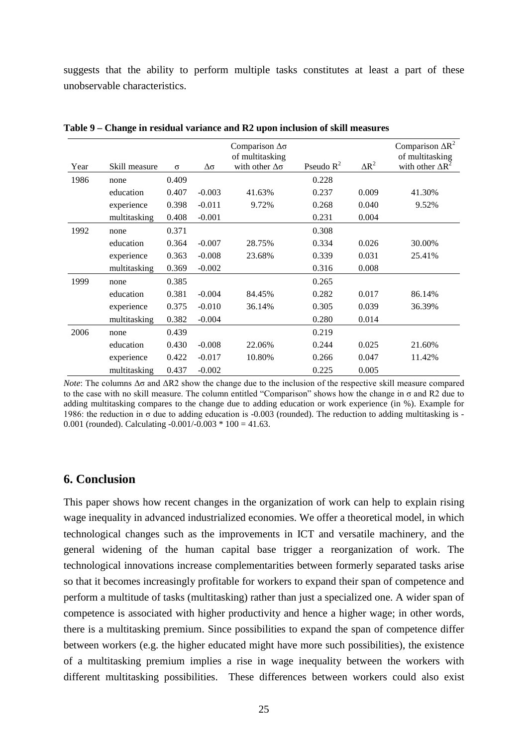suggests that the ability to perform multiple tasks constitutes at least a part of these unobservable characteristics.

| Year | Skill measure | $\sigma$ | Δσ       | Comparison $\Delta\sigma$<br>of multitasking<br>with other $\Delta\sigma$ | Pseudo $R^2$ | $\Delta R^2$ | Comparison $\Delta R^2$<br>of multitasking<br>with other $\Delta R^2$ |
|------|---------------|----------|----------|---------------------------------------------------------------------------|--------------|--------------|-----------------------------------------------------------------------|
| 1986 | none          | 0.409    |          |                                                                           | 0.228        |              |                                                                       |
|      | education     | 0.407    | $-0.003$ | 41.63%                                                                    | 0.237        | 0.009        | 41.30%                                                                |
|      | experience    | 0.398    | $-0.011$ | 9.72%                                                                     | 0.268        | 0.040        | 9.52%                                                                 |
|      | multitasking  | 0.408    | $-0.001$ |                                                                           | 0.231        | 0.004        |                                                                       |
| 1992 | none          | 0.371    |          |                                                                           | 0.308        |              |                                                                       |
|      | education     | 0.364    | $-0.007$ | 28.75%                                                                    | 0.334        | 0.026        | 30.00%                                                                |
|      | experience    | 0.363    | $-0.008$ | 23.68%                                                                    | 0.339        | 0.031        | 25.41%                                                                |
|      | multitasking  | 0.369    | $-0.002$ |                                                                           | 0.316        | 0.008        |                                                                       |
| 1999 | none          | 0.385    |          |                                                                           | 0.265        |              |                                                                       |
|      | education     | 0.381    | $-0.004$ | 84.45%                                                                    | 0.282        | 0.017        | 86.14%                                                                |
|      | experience    | 0.375    | $-0.010$ | 36.14%                                                                    | 0.305        | 0.039        | 36.39%                                                                |
|      | multitasking  | 0.382    | $-0.004$ |                                                                           | 0.280        | 0.014        |                                                                       |
| 2006 | none          | 0.439    |          |                                                                           | 0.219        |              |                                                                       |
|      | education     | 0.430    | $-0.008$ | 22.06%                                                                    | 0.244        | 0.025        | 21.60%                                                                |
|      | experience    | 0.422    | $-0.017$ | 10.80%                                                                    | 0.266        | 0.047        | 11.42%                                                                |
|      | multitasking  | 0.437    | $-0.002$ |                                                                           | 0.225        | 0.005        |                                                                       |

**Table 9 – Change in residual variance and R2 upon inclusion of skill measures**

*Note*: The columns Δσ and ΔR2 show the change due to the inclusion of the respective skill measure compared to the case with no skill measure. The column entitled "Comparison" shows how the change in σ and R2 due to adding multitasking compares to the change due to adding education or work experience (in %). Example for 1986: the reduction in  $\sigma$  due to adding education is -0.003 (rounded). The reduction to adding multitasking is -0.001 (rounded). Calculating  $-0.001/-0.003 * 100 = 41.63$ .

#### **6. Conclusion**

This paper shows how recent changes in the organization of work can help to explain rising wage inequality in advanced industrialized economies. We offer a theoretical model, in which technological changes such as the improvements in ICT and versatile machinery, and the general widening of the human capital base trigger a reorganization of work. The technological innovations increase complementarities between formerly separated tasks arise so that it becomes increasingly profitable for workers to expand their span of competence and perform a multitude of tasks (multitasking) rather than just a specialized one. A wider span of competence is associated with higher productivity and hence a higher wage; in other words, there is a multitasking premium. Since possibilities to expand the span of competence differ between workers (e.g. the higher educated might have more such possibilities), the existence of a multitasking premium implies a rise in wage inequality between the workers with different multitasking possibilities. These differences between workers could also exist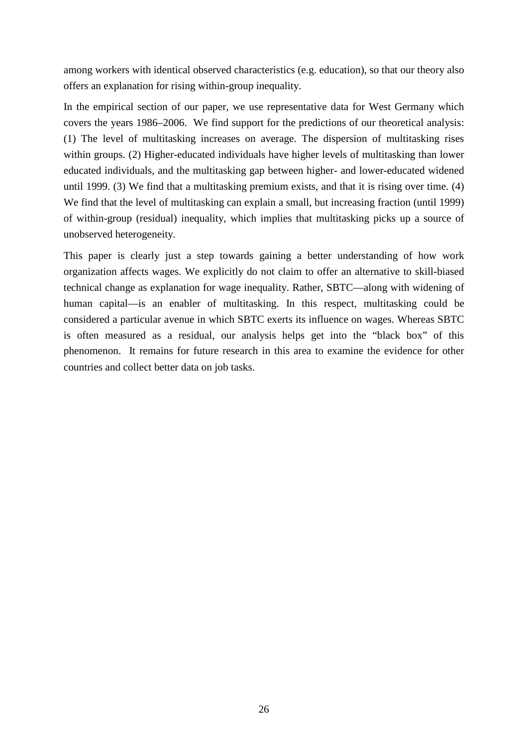among workers with identical observed characteristics (e.g. education), so that our theory also offers an explanation for rising within-group inequality.

In the empirical section of our paper, we use representative data for West Germany which covers the years 1986–2006. We find support for the predictions of our theoretical analysis: (1) The level of multitasking increases on average. The dispersion of multitasking rises within groups. (2) Higher-educated individuals have higher levels of multitasking than lower educated individuals, and the multitasking gap between higher- and lower-educated widened until 1999. (3) We find that a multitasking premium exists, and that it is rising over time. (4) We find that the level of multitasking can explain a small, but increasing fraction (until 1999) of within-group (residual) inequality, which implies that multitasking picks up a source of unobserved heterogeneity.

This paper is clearly just a step towards gaining a better understanding of how work organization affects wages. We explicitly do not claim to offer an alternative to skill-biased technical change as explanation for wage inequality. Rather, SBTC—along with widening of human capital—is an enabler of multitasking. In this respect, multitasking could be considered a particular avenue in which SBTC exerts its influence on wages. Whereas SBTC is often measured as a residual, our analysis helps get into the "black box" of this phenomenon. It remains for future research in this area to examine the evidence for other countries and collect better data on job tasks.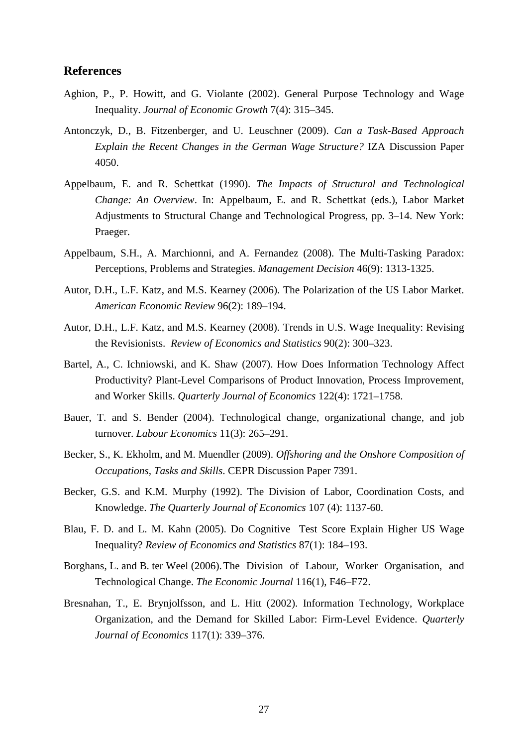#### **References**

- Aghion, P., P. Howitt, and G. Violante (2002). General Purpose Technology and Wage Inequality. *Journal of Economic Growth* 7(4): 315–345.
- Antonczyk, D., B. Fitzenberger, and U. Leuschner (2009). *Can a Task-Based Approach Explain the Recent Changes in the German Wage Structure?* IZA Discussion Paper 4050.
- Appelbaum, E. and R. Schettkat (1990). *The Impacts of Structural and Technological Change: An Overview*. In: Appelbaum, E. and R. Schettkat (eds.), Labor Market Adjustments to Structural Change and Technological Progress, pp. 3–14. New York: Praeger.
- Appelbaum, S.H., A. Marchionni, and A. Fernandez (2008). The Multi-Tasking Paradox: Perceptions, Problems and Strategies. *Management Decision* 46(9): 1313-1325.
- Autor, D.H., L.F. Katz, and M.S. Kearney (2006). The Polarization of the US Labor Market. *American Economic Review* 96(2): 189–194.
- Autor, D.H., L.F. Katz, and M.S. Kearney (2008). Trends in U.S. Wage Inequality: Revising the Revisionists. *Review of Economics and Statistics* 90(2): 300–323.
- Bartel, A., C. Ichniowski, and K. Shaw (2007). How Does Information Technology Affect Productivity? Plant-Level Comparisons of Product Innovation, Process Improvement, and Worker Skills. *Quarterly Journal of Economics* 122(4): 1721–1758.
- Bauer, T. and S. Bender (2004). Technological change, organizational change, and job turnover. *Labour Economics* 11(3): 265–291.
- Becker, S., K. Ekholm, and M. Muendler (2009). *Offshoring and the Onshore Composition of Occupations, Tasks and Skills*. CEPR Discussion Paper 7391.
- Becker, G.S. and K.M. Murphy (1992). The Division of Labor, Coordination Costs, and Knowledge. *The Quarterly Journal of Economics* 107 (4): 1137-60.
- Blau, F. D. and L. M. Kahn (2005). Do Cognitive Test Score Explain Higher US Wage Inequality? *Review of Economics and Statistics* 87(1): 184–193.
- Borghans, L. and B. ter Weel (2006).The Division of Labour, Worker Organisation, and Technological Change. *The Economic Journal* 116(1), F46–F72.
- Bresnahan, T., E. Brynjolfsson, and L. Hitt (2002). Information Technology, Workplace Organization, and the Demand for Skilled Labor: Firm-Level Evidence. *Quarterly Journal of Economics* 117(1): 339–376.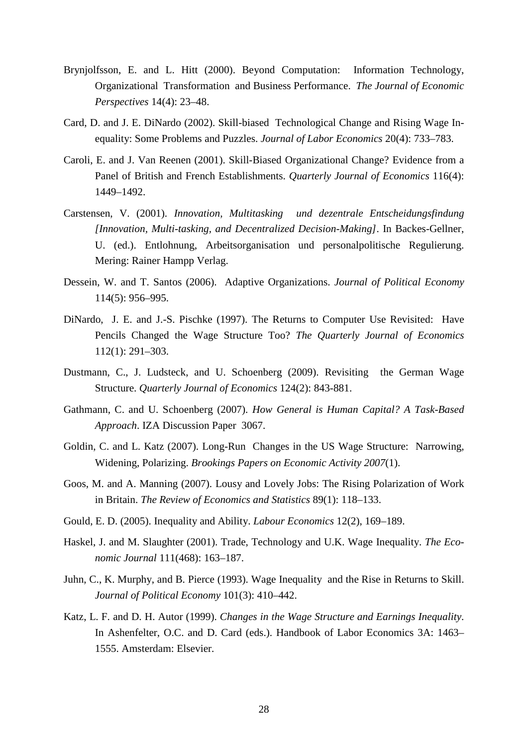- Brynjolfsson, E. and L. Hitt (2000). Beyond Computation: Information Technology, Organizational Transformation and Business Performance. *The Journal of Economic Perspectives* 14(4): 23–48.
- Card, D. and J. E. DiNardo (2002). Skill-biased Technological Change and Rising Wage Inequality: Some Problems and Puzzles. *Journal of Labor Economics* 20(4): 733–783.
- Caroli, E. and J. Van Reenen (2001). Skill-Biased Organizational Change? Evidence from a Panel of British and French Establishments. *Quarterly Journal of Economics* 116(4): 1449–1492.
- Carstensen, V. (2001). *Innovation, Multitasking und dezentrale Entscheidungsfindung [Innovation, Multi-tasking, and Decentralized Decision-Making]*. In Backes-Gellner, U. (ed.). Entlohnung, Arbeitsorganisation und personalpolitische Regulierung. Mering: Rainer Hampp Verlag.
- Dessein, W. and T. Santos (2006). Adaptive Organizations. *Journal of Political Economy*  114(5): 956–995.
- DiNardo, J. E. and J.-S. Pischke (1997). The Returns to Computer Use Revisited: Have Pencils Changed the Wage Structure Too? *The Quarterly Journal of Economics* 112(1): 291–303.
- Dustmann, C., J. Ludsteck, and U. Schoenberg (2009). Revisiting the German Wage Structure. *Quarterly Journal of Economics* 124(2): 843-881.
- Gathmann, C. and U. Schoenberg (2007). *How General is Human Capital? A Task-Based Approach*. IZA Discussion Paper 3067.
- Goldin, C. and L. Katz (2007). Long-Run Changes in the US Wage Structure: Narrowing, Widening, Polarizing. *Brookings Papers on Economic Activity 2007*(1).
- Goos, M. and A. Manning (2007). Lousy and Lovely Jobs: The Rising Polarization of Work in Britain. *The Review of Economics and Statistics* 89(1): 118–133.
- Gould, E. D. (2005). Inequality and Ability. *Labour Economics* 12(2), 169–189.
- Haskel, J. and M. Slaughter (2001). Trade, Technology and U.K. Wage Inequality. *The Economic Journal* 111(468): 163–187.
- Juhn, C., K. Murphy, and B. Pierce (1993). Wage Inequality and the Rise in Returns to Skill. *Journal of Political Economy* 101(3): 410–442.
- Katz, L. F. and D. H. Autor (1999). *Changes in the Wage Structure and Earnings Inequality*. In Ashenfelter, O.C. and D. Card (eds.). Handbook of Labor Economics 3A: 1463– 1555. Amsterdam: Elsevier.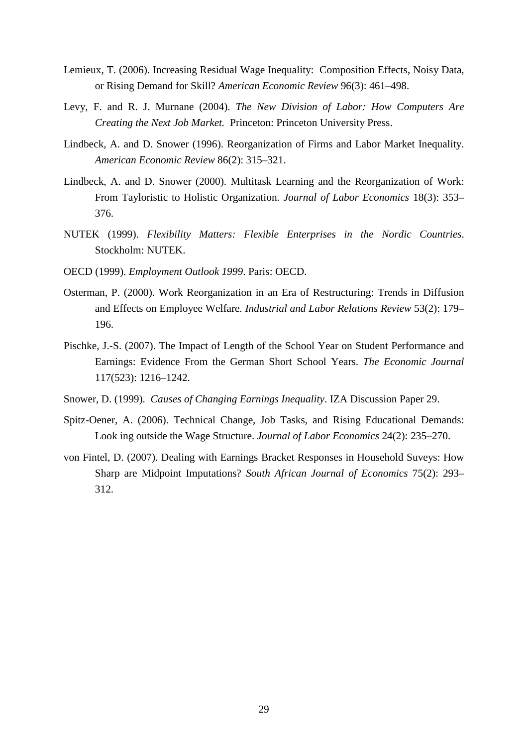- Lemieux, T. (2006). Increasing Residual Wage Inequality: Composition Effects, Noisy Data, or Rising Demand for Skill? *American Economic Review* 96(3): 461–498.
- Levy, F. and R. J. Murnane (2004). *The New Division of Labor: How Computers Are Creating the Next Job Market.* Princeton: Princeton University Press.
- Lindbeck, A. and D. Snower (1996). Reorganization of Firms and Labor Market Inequality. *American Economic Review* 86(2): 315–321.
- Lindbeck, A. and D. Snower (2000). Multitask Learning and the Reorganization of Work: From Tayloristic to Holistic Organization. *Journal of Labor Economics* 18(3): 353– 376.
- NUTEK (1999). *Flexibility Matters: Flexible Enterprises in the Nordic Countries*. Stockholm: NUTEK.
- OECD (1999). *Employment Outlook 1999*. Paris: OECD.
- Osterman, P. (2000). Work Reorganization in an Era of Restructuring: Trends in Diffusion and Effects on Employee Welfare. *Industrial and Labor Relations Review* 53(2): 179– 196.
- Pischke, J.-S. (2007). The Impact of Length of the School Year on Student Performance and Earnings: Evidence From the German Short School Years. *The Economic Journal*  117(523): 1216–1242.
- Snower, D. (1999). *Causes of Changing Earnings Inequality*. IZA Discussion Paper 29.
- Spitz-Oener, A. (2006). Technical Change, Job Tasks, and Rising Educational Demands: Look ing outside the Wage Structure. *Journal of Labor Economics* 24(2): 235–270.
- von Fintel, D. (2007). Dealing with Earnings Bracket Responses in Household Suveys: How Sharp are Midpoint Imputations? *South African Journal of Economics* 75(2): 293– 312.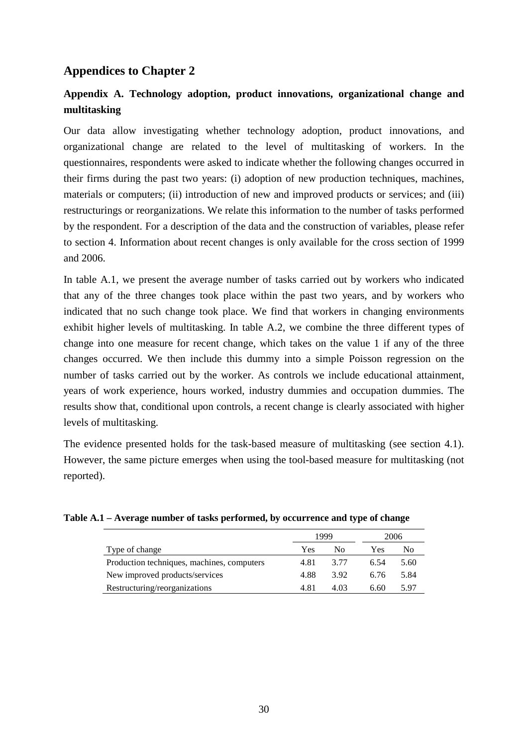# **Appendices to Chapter 2**

# **Appendix A. Technology adoption, product innovations, organizational change and multitasking**

Our data allow investigating whether technology adoption, product innovations, and organizational change are related to the level of multitasking of workers. In the questionnaires, respondents were asked to indicate whether the following changes occurred in their firms during the past two years: (i) adoption of new production techniques, machines, materials or computers; (ii) introduction of new and improved products or services; and (iii) restructurings or reorganizations. We relate this information to the number of tasks performed by the respondent. For a description of the data and the construction of variables, please refer to section 4. Information about recent changes is only available for the cross section of 1999 and 2006.

In table A.1, we present the average number of tasks carried out by workers who indicated that any of the three changes took place within the past two years, and by workers who indicated that no such change took place. We find that workers in changing environments exhibit higher levels of multitasking. In table A.2, we combine the three different types of change into one measure for recent change, which takes on the value 1 if any of the three changes occurred. We then include this dummy into a simple Poisson regression on the number of tasks carried out by the worker. As controls we include educational attainment, years of work experience, hours worked, industry dummies and occupation dummies. The results show that, conditional upon controls, a recent change is clearly associated with higher levels of multitasking.

The evidence presented holds for the task-based measure of multitasking (see section 4.1). However, the same picture emerges when using the tool-based measure for multitasking (not reported).

|                                            | 1999 |      |      | 2006           |
|--------------------------------------------|------|------|------|----------------|
| Type of change                             | Yes  | No   | Yes  | N <sub>0</sub> |
| Production techniques, machines, computers | 4.81 | 3.77 | 6.54 | 5.60           |
| New improved products/services             | 4.88 | 3.92 | 6.76 | 5.84           |
| Restructuring/reorganizations              | 4.81 | 4.03 | 6.60 | 5.97           |

#### **Table A.1 – Average number of tasks performed, by occurrence and type of change**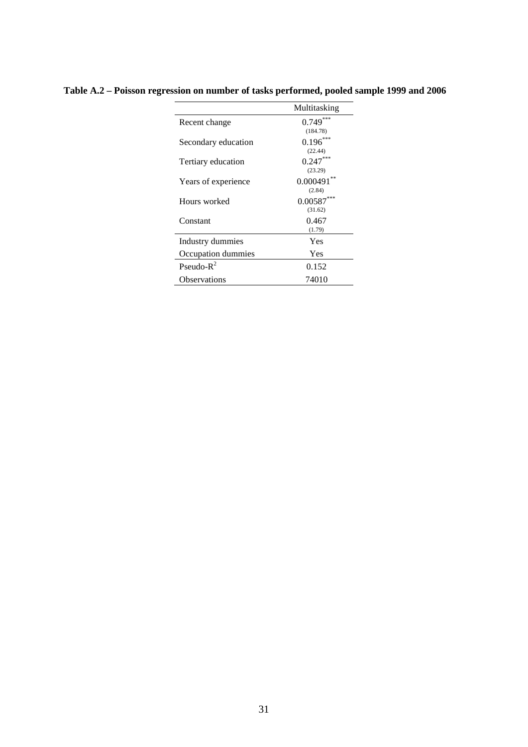|                     | Multitasking           |
|---------------------|------------------------|
| Recent change       | $0.749***$             |
| Secondary education | (184.78)<br>$0.196***$ |
|                     | (22.44)                |
| Tertiary education  | $0.247***$             |
|                     | (23.29)<br>0.000491    |
| Years of experience | (2.84)                 |
| Hours worked        | 0.00587                |
|                     | (31.62)                |
| Constant            | 0.467<br>(1.79)        |
| Industry dummies    | Yes                    |
| Occupation dummies  | Yes                    |
| Pseudo- $R^2$       | 0.152                  |
| <b>Observations</b> | 74010                  |

**Table A.2 – Poisson regression on number of tasks performed, pooled sample 1999 and 2006**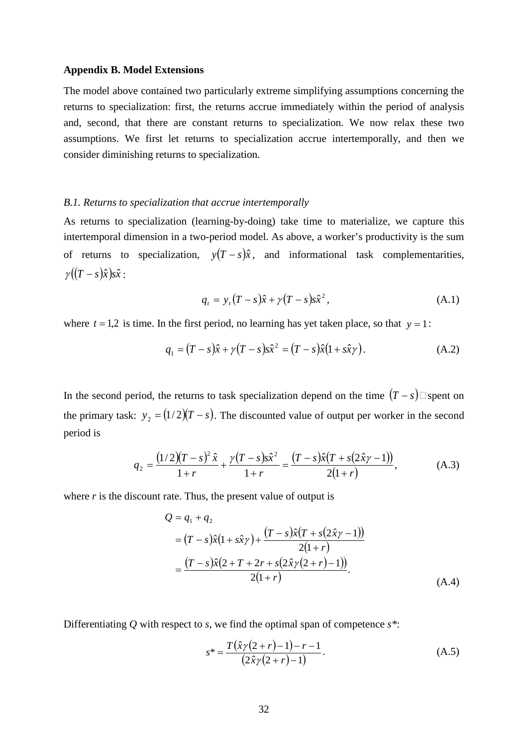#### **Appendix B. Model Extensions**

The model above contained two particularly extreme simplifying assumptions concerning the returns to specialization: first, the returns accrue immediately within the period of analysis and, second, that there are constant returns to specialization. We now relax these two assumptions. We first let returns to specialization accrue intertemporally, and then we consider diminishing returns to specialization.

#### *B.1. Returns to specialization that accrue intertemporally*

As returns to specialization (learning-by-doing) take time to materialize, we capture this intertemporal dimension in a two-period model. As above, a worker's productivity is the sum of returns to specialization,  $y(T-s)\hat{x}$ , and informational task complementarities,  $\gamma((T-s)\hat{x})s\hat{x}$ :

$$
q_t = y_t (T - s)\hat{x} + \gamma (T - s)s\hat{x}^2, \qquad (A.1)
$$

where  $t = 1.2$  is time. In the first period, no learning has yet taken place, so that  $y = 1$ :

$$
q_1 = (T - s)\hat{x} + \gamma (T - s)s\hat{x}^2 = (T - s)\hat{x}(1 + s\hat{x}\gamma).
$$
 (A.2)

In the second period, the returns to task specialization depend on the time  $(T - s)$  spent on the primary task:  $y_2 = (1/2)(T - s)$ . The discounted value of output per worker in the second period is

$$
q_2 = \frac{(1/2)(T-s)^2 \hat{x}}{1+r} + \frac{\gamma(T-s)\hat{x}^2}{1+r} = \frac{(T-s)\hat{x}(T+s(2\hat{x}\gamma-1))}{2(1+r)},
$$
(A.3)

where *r* is the discount rate. Thus, the present value of output is

$$
Q = q_1 + q_2
$$
  
=  $(T - s)\hat{x}(1 + s\hat{x}\gamma) + \frac{(T - s)\hat{x}(T + s(2\hat{x}\gamma - 1))}{2(1 + r)}$   
=  $\frac{(T - s)\hat{x}(2 + T + 2r + s(2\hat{x}\gamma(2 + r) - 1))}{2(1 + r)}$ . (A.4)

Differentiating *Q* with respect to *s*, we find the optimal span of competence *s\**:

$$
s^* = \frac{T(\hat{x}\gamma(2+r)-1)-r-1}{(2\hat{x}\gamma(2+r)-1)}.
$$
 (A.5)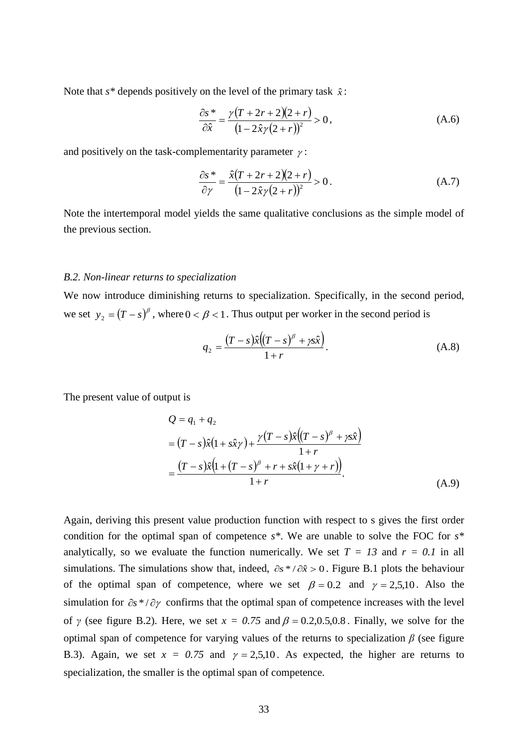Note that  $s^*$  depends positively on the level of the primary task  $\hat{x}$ :

$$
\frac{\partial s^*}{\partial \hat{x}} = \frac{\gamma (T + 2r + 2)(2 + r)}{(1 - 2\hat{x}\gamma (2 + r))^2} > 0,
$$
\n(A.6)

and positively on the task-complementarity parameter  $\gamma$ :

$$
\frac{\partial s^*}{\partial \gamma} = \frac{\hat{x}(T + 2r + 2)(2 + r)}{(1 - 2\hat{x}\gamma(2 + r))^2} > 0.
$$
 (A.7)

Note the intertemporal model yields the same qualitative conclusions as the simple model of the previous section.

#### *B.2. Non-linear returns to specialization*

We now introduce diminishing returns to specialization. Specifically, in the second period, we set  $y_2 = (T - s)^\beta$ , where  $0 < \beta < 1$ . Thus output per worker in the second period is

$$
q_2 = \frac{(T - s)\hat{x}((T - s)^{\beta} + \gamma s\hat{x})}{1 + r}.
$$
 (A.8)

The present value of output is

$$
Q = q_1 + q_2
$$
  
=  $(T - s)\hat{x}(1 + s\hat{x}\gamma) + \frac{\gamma(T - s)\hat{x}((T - s)^{\beta} + \gamma s\hat{x})}{1 + r}$   
=  $\frac{(T - s)\hat{x}(1 + (T - s)^{\beta} + r + s\hat{x}(1 + \gamma + r))}{1 + r}$ . (A.9)

Again, deriving this present value production function with respect to s gives the first order condition for the optimal span of competence *s\**. We are unable to solve the FOC for *s\** analytically, so we evaluate the function numerically. We set  $T = 13$  and  $r = 0.1$  in all simulations. The simulations show that, indeed,  $\partial s^* / \partial \hat{x} > 0$ . Figure B.1 plots the behaviour of the optimal span of competence, where we set  $\beta = 0.2$  and  $\gamma = 2,5,10$ . Also the simulation for ∂*s* \* / ∂<sup>γ</sup> confirms that the optimal span of competence increases with the level of *γ* (see figure B.2). Here, we set  $x = 0.75$  and  $\beta = 0.2, 0.5, 0.8$ . Finally, we solve for the optimal span of competence for varying values of the returns to specialization  $\beta$  (see figure B.3). Again, we set  $x = 0.75$  and  $y = 2.5,10$ . As expected, the higher are returns to specialization, the smaller is the optimal span of competence.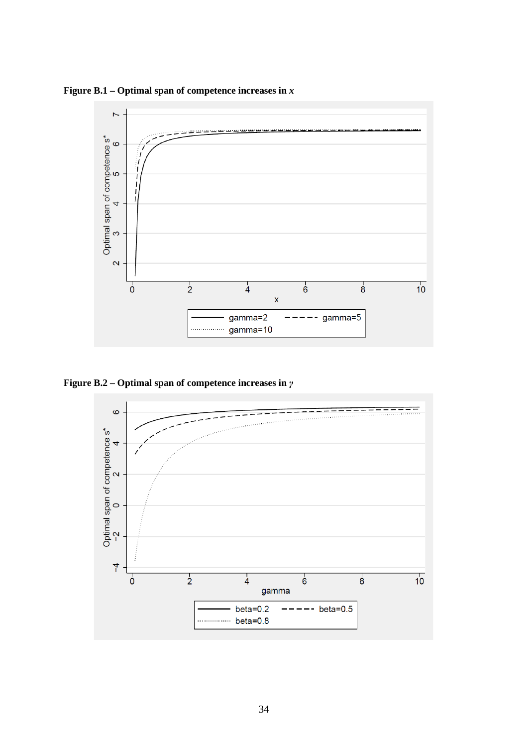



**Figure B.2 – Optimal span of competence increases in** *γ*

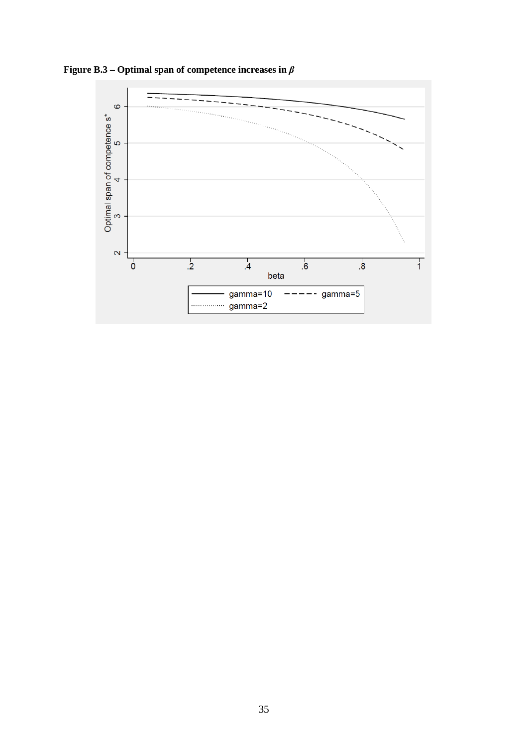

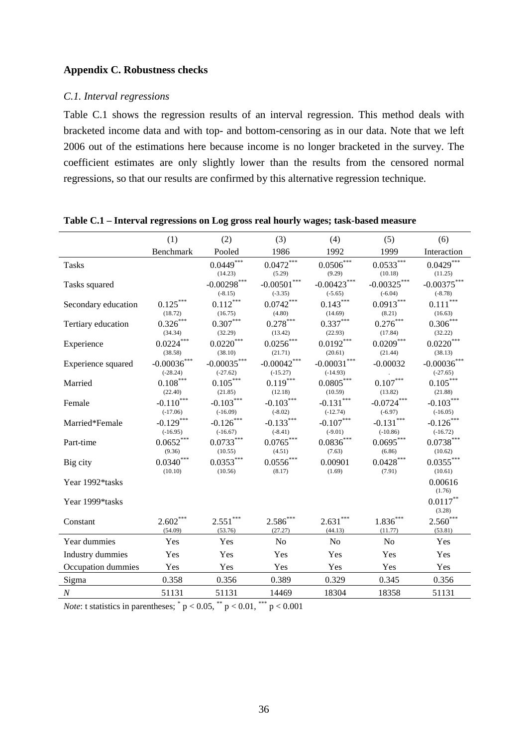#### **Appendix C. Robustness checks**

#### *C.1. Interval regressions*

Table C.1 shows the regression results of an interval regression. This method deals with bracketed income data and with top- and bottom-censoring as in our data. Note that we left 2006 out of the estimations here because income is no longer bracketed in the survey. The coefficient estimates are only slightly lower than the results from the censored normal regressions, so that our results are confirmed by this alternative regression technique.

|                     | (1)                                | (2)                                  | (3)                                     | (4)                                           | (5)                                 | (6)                                |
|---------------------|------------------------------------|--------------------------------------|-----------------------------------------|-----------------------------------------------|-------------------------------------|------------------------------------|
|                     | Benchmark                          | Pooled                               | 1986                                    | 1992                                          | 1999                                | Interaction                        |
| Tasks               |                                    | $0.0449***$<br>(14.23)               | $0.0472$ <sup>***</sup><br>(5.29)       | $0.0506^{\overline{***}}$<br>(9.29)           | $0.0533^{\ast\ast\ast}$<br>(10.18)  | $0.0429***$<br>(11.25)             |
| Tasks squared       |                                    | $-0.00298***$<br>$(-8.15)$           | ***<br>$-0.00501$<br>$(-3.35)$          | $-0.00423$<br>$(-5.65)$                       | $-0.00325***$<br>$(-6.04)$          | $-0.00375***$<br>$(-8.78)$         |
| Secondary education | $0.125***$<br>(18.72)              | $0.112***$<br>(16.75)                | ***<br>0.0742<br>(4.80)                 | $0.143***$<br>(14.69)                         | ${0.0913}^{\ast\ast\ast}$<br>(8.21) | ***<br>0.111<br>(16.63)            |
| Tertiary education  | $0.326***$<br>(34.34)              | $0.307^{\ast\ast\ast}$<br>(32.29)    | $0.278^{\ast\ast\ast}$<br>(13.42)       | $0.337^{\ast\ast\ast}$<br>(22.93)             | $0.276***$<br>(17.84)               | $0.306***$<br>(32.22)              |
| Experience          | $0.0224^{\ast\ast\ast}$<br>(38.58) | ${0.0220}^{\ast\ast\ast}$<br>(38.10) | $0.0256^{\ast\ast\ast}$<br>(21.71)      | $0.0192\sp{***}$<br>(20.61)                   | $0.0209^{***}$<br>(21.44)           | $0.0220^\mathrm{***}$<br>(38.13)   |
| Experience squared  | ***<br>$-0.00036$<br>$(-28.24)$    | $-0.00035***$<br>$(-27.62)$          | $\textbf{-0.00042}^{***}$<br>$(-15.27)$ | ***<br>$-0.00031$<br>$(-14.93)$               | $-0.00032$                          | $-0.00036$<br>$(-27.65)$           |
| Married             | $0.108^{\ast\ast\ast}$<br>(22.40)  | $0.105^{\ast\ast\ast}$<br>(21.85)    | $0.119***$<br>(12.18)                   | $0.0805^{\ast\ast\ast}$<br>(10.59)            | $0.107^{\ast\ast\ast}$<br>(13.82)   | $0.105***$<br>(21.88)              |
| Female              | ***<br>$-0.110$<br>$(-17.06)$      | $-0.103***$<br>$(-16.09)$            | $-0.103***$<br>$(-8.02)$                | $-0.131***$<br>$(-12.74)$                     | $***$<br>$-0.0724$<br>$(-6.97)$     | $-0.103***$<br>$(-16.05)$          |
| Married*Female      | ***<br>$-0.129$<br>$(-16.95)$      | $-0.126$ ***<br>$(-16.67)$           | $-0.133***$<br>$(-8.41)$                | $\textbf{-0.107}^{\ast\ast\ast}$<br>$(-9.01)$ | ***<br>$-0.131$<br>$(-10.86)$       | $-0.126$<br>$(-16.72)$             |
| Part-time           | $0.0652\sp{***}$<br>(9.36)         | $0.0733***$<br>(10.55)               | $0.0765^{\ast\ast\ast}$<br>(4.51)       | $0.0836^{***}\,$<br>(7.63)                    | $0.0695^{\ast\ast\ast}$<br>(6.86)   | $0.0738^{\ast\ast\ast}$<br>(10.62) |
| Big city            | $0.0340^\ast$<br>(10.10)           | $0.0353^{\ast\ast\ast}$<br>(10.56)   | $0.0556^{***}\,$<br>(8.17)              | 0.00901<br>(1.69)                             | $0.0428^{\ast\ast\ast}$<br>(7.91)   | $0.0355^\mathrm{***}$<br>(10.61)   |
| Year 1992*tasks     |                                    |                                      |                                         |                                               |                                     | 0.00616<br>(1.76)                  |
| Year 1999*tasks     |                                    |                                      |                                         |                                               |                                     | $0.0117^{\ast\ast}$<br>(3.28)      |
| Constant            | $2.602***$<br>(54.09)              | $2.551***$<br>(53.76)                | 2.586<br>(27.27)                        | ***<br>2.631<br>(44.13)                       | 1.836<br>(11.77)                    | $2.560***$<br>(53.81)              |
| Year dummies        | Yes                                | Yes                                  | N <sub>o</sub>                          | No                                            | No                                  | Yes                                |
| Industry dummies    | Yes                                | Yes                                  | Yes                                     | Yes                                           | Yes                                 | Yes                                |
| Occupation dummies  | Yes                                | Yes                                  | Yes                                     | Yes                                           | Yes                                 | Yes                                |
| Sigma               | 0.358                              | 0.356                                | 0.389                                   | 0.329                                         | 0.345                               | 0.356                              |
| $\boldsymbol{N}$    | 51131                              | 51131                                | 14469                                   | 18304                                         | 18358                               | 51131                              |

### **Table C.1 – Interval regressions on Log gross real hourly wages; task-based measure**

*Note*: t statistics in parentheses;  $p < 0.05$ ,  $p < 0.01$ ,  $p < 0.001$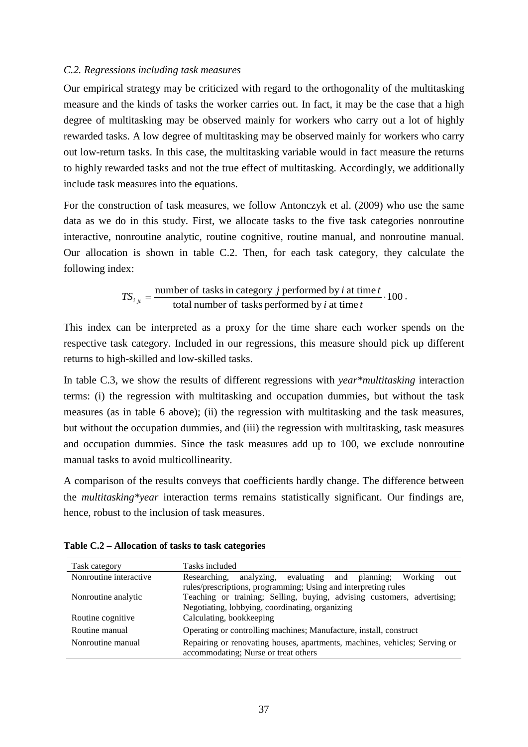#### *C.2. Regressions including task measures*

Our empirical strategy may be criticized with regard to the orthogonality of the multitasking measure and the kinds of tasks the worker carries out. In fact, it may be the case that a high degree of multitasking may be observed mainly for workers who carry out a lot of highly rewarded tasks. A low degree of multitasking may be observed mainly for workers who carry out low-return tasks. In this case, the multitasking variable would in fact measure the returns to highly rewarded tasks and not the true effect of multitasking. Accordingly, we additionally include task measures into the equations.

For the construction of task measures, we follow Antonczyk et al. (2009) who use the same data as we do in this study. First, we allocate tasks to the five task categories nonroutine interactive, nonroutine analytic, routine cognitive, routine manual, and nonroutine manual. Our allocation is shown in table C.2. Then, for each task category, they calculate the following index:

$$
TS_{i_{jt}} = \frac{\text{number of tasks in category } j \text{ performed by } i \text{ at time } t}{\text{total number of tasks performed by } i \text{ at time } t} \cdot 100.
$$

This index can be interpreted as a proxy for the time share each worker spends on the respective task category. Included in our regressions, this measure should pick up different returns to high-skilled and low-skilled tasks.

In table C.3, we show the results of different regressions with *year\*multitasking* interaction terms: (i) the regression with multitasking and occupation dummies, but without the task measures (as in table 6 above); (ii) the regression with multitasking and the task measures, but without the occupation dummies, and (iii) the regression with multitasking, task measures and occupation dummies. Since the task measures add up to 100, we exclude nonroutine manual tasks to avoid multicollinearity.

A comparison of the results conveys that coefficients hardly change. The difference between the *multitasking\*year* interaction terms remains statistically significant. Our findings are, hence, robust to the inclusion of task measures.

| Task category          | Tasks included                                                                                                     |  |  |
|------------------------|--------------------------------------------------------------------------------------------------------------------|--|--|
| Nonroutine interactive | Researching, analyzing, evaluating and planning;<br><b>Working</b><br>out                                          |  |  |
|                        | rules/prescriptions, programming; Using and interpreting rules                                                     |  |  |
| Nonroutine analytic    | Teaching or training; Selling, buying, advising customers, advertising;                                            |  |  |
|                        | Negotiating, lobbying, coordinating, organizing                                                                    |  |  |
| Routine cognitive      | Calculating, bookkeeping                                                                                           |  |  |
| Routine manual         | Operating or controlling machines; Manufacture, install, construct                                                 |  |  |
| Nonroutine manual      | Repairing or renovating houses, apartments, machines, vehicles; Serving or<br>accommodating; Nurse or treat others |  |  |

**Table C.2 – Allocation of tasks to task categories**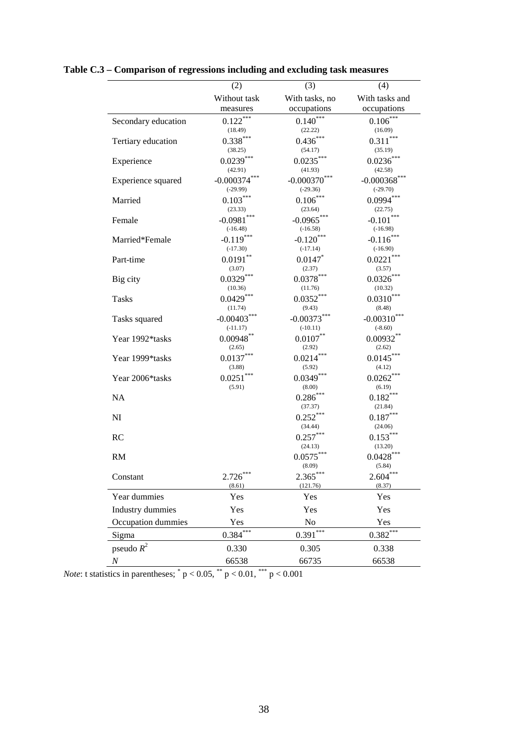|                     | (2)                          | (3)                                   | (4)                                       |
|---------------------|------------------------------|---------------------------------------|-------------------------------------------|
|                     | Without task                 | With tasks, no                        | With tasks and                            |
|                     | measures                     | occupations                           | occupations                               |
| Secondary education | $0.122***$<br>(18.49)        | $0.140***$<br>(22.22)                 | $0.106***$<br>(16.09)                     |
| Tertiary education  | $0.338***$<br>(38.25)        | $0.436***$<br>(54.17)                 | $0.311***$<br>(35.19)                     |
| Experience          | $0.0239***$<br>(42.91)       | $0.0235***$<br>(41.93)                | $0.0236***$<br>(42.58)                    |
| Experience squared  | $-0.000374***$<br>$(-29.99)$ | ***<br>$-0.000370$<br>$(-29.36)$      | $-0.000368$ ***<br>$(-29.70)$             |
| Married             | $0.103***$<br>(23.33)        | $0.106***$<br>(23.64)                 | $0.0994***$<br>(22.75)                    |
| Female              | $-0.0981$<br>$(-16.48)$      | $-0.0965***$<br>$(-16.58)$            | ***<br>$-0.101$<br>$(-16.98)$             |
| Married*Female      | $-0.119***$<br>$(-17.30)$    | $-0.120***$<br>$(-17.14)$             | $-0.116$ ***<br>$(-16.90)$                |
| Part-time           | $0.0191***$<br>(3.07)        | 0.0147<br>(2.37)                      | $0.0221***$<br>(3.57)                     |
| Big city            | $0.0329***$<br>(10.36)       | ${0.0378}^{\ast\ast\ast}$<br>(11.76)  | $0.0326^{***}\,$<br>(10.32)               |
| <b>Tasks</b>        | $0.0429***$<br>(11.74)       | $0.0352***$<br>(9.43)                 | $0.0310***$<br>(8.48)                     |
| Tasks squared       | $-0.00403***$<br>$(-11.17)$  | $-0.00373***$<br>$(-10.11)$           | $-0.00310***$<br>$(-8.60)$                |
| Year 1992*tasks     | $0.00948***$<br>(2.65)       | $0.0107**$<br>(2.92)                  | $0.00932**$<br>(2.62)                     |
| Year 1999*tasks     | $0.0137***$<br>(3.88)        | ***<br>0.0214<br>(5.92)               | $0.0145^\ast{}^{\ast}{}^{\ast}$<br>(4.12) |
| Year 2006*tasks     | $0.0251***$<br>(5.91)        | $0.0349***$<br>(8.00)                 | $0.0262***$<br>(6.19)                     |
| NA                  |                              | $0.286\sp{*}{^\ast\sp{*}}$<br>(37.37) | $0.182***$<br>(21.84)                     |
| N <sub>I</sub>      |                              | $0.252***$<br>(34.44)                 | $0.187***$<br>(24.06)                     |
| <b>RC</b>           |                              | $0.257***$<br>(24.13)                 | $0.153***$<br>(13.20)                     |
| <b>RM</b>           |                              | $0.0575***$<br>(8.09)                 | $0.0428***$<br>(5.84)                     |
| Constant            | $2.726***$<br>(8.61)         | $2.365***$<br>(121.76)                | $2.604***$<br>(8.37)                      |
| Year dummies        | Yes                          | Yes                                   | Yes                                       |
| Industry dummies    | Yes                          | Yes                                   | Yes                                       |
| Occupation dummies  | Yes                          | No                                    | Yes                                       |
| Sigma               | $0.384$ ***                  | $0.391***$                            | $\frac{0.382^{***}}{40}$                  |
| pseudo $R^2$        | 0.330                        | 0.305                                 | 0.338                                     |
| $\cal N$            | 66538                        | 66735                                 | 66538                                     |

**Table C.3 – Comparison of regressions including and excluding task measures**

*Note*: t statistics in parentheses;  $p < 0.05$ ,  $p < 0.01$ ,  $p < 0.001$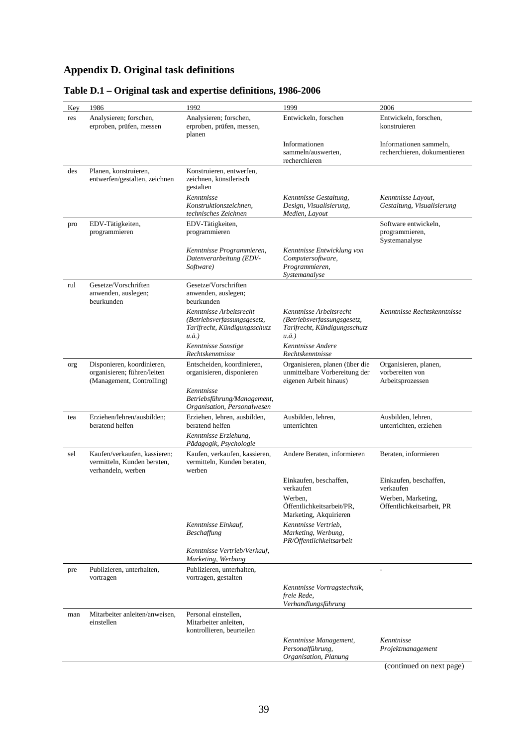# **Appendix D. Original task definitions**

| Key | 1986                                                                                   | 1992                                                                                               | 1999                                                                                                     | 2006                                                         |
|-----|----------------------------------------------------------------------------------------|----------------------------------------------------------------------------------------------------|----------------------------------------------------------------------------------------------------------|--------------------------------------------------------------|
| res | Analysieren; forschen,<br>erproben, prüfen, messen                                     | Analysieren; forschen,<br>erproben, prüfen, messen,<br>planen                                      | Entwickeln, forschen                                                                                     | Entwickeln, forschen,<br>konstruieren                        |
|     |                                                                                        |                                                                                                    | Informationen<br>sammeln/auswerten,<br>recherchieren                                                     | Informationen sammeln,<br>recherchieren, dokumentieren       |
| des | Planen, konstruieren,<br>entwerfen/gestalten, zeichnen                                 | Konstruieren, entwerfen,<br>zeichnen, künstlerisch<br>gestalten                                    |                                                                                                          |                                                              |
|     |                                                                                        | Kenntnisse<br>Konstruktionszeichnen,<br>technisches Zeichnen                                       | Kenntnisse Gestaltung,<br>Design, Visualisierung,<br>Medien, Layout                                      | Kenntnisse Layout,<br>Gestaltung, Visualisierung             |
| pro | EDV-Tätigkeiten,<br>programmieren                                                      | EDV-Tätigkeiten,<br>programmieren                                                                  |                                                                                                          | Software entwickeln,<br>programmieren,<br>Systemanalyse      |
|     |                                                                                        | Kenntnisse Programmieren,<br>Datenverarbeitung (EDV-<br>Software)                                  | Kenntnisse Entwicklung von<br>Computersoftware,<br>Programmieren,<br>Systemanalyse                       |                                                              |
| rul | Gesetze/Vorschriften<br>anwenden, auslegen;<br>beurkunden                              | Gesetze/Vorschriften<br>anwenden, auslegen;<br>beurkunden                                          |                                                                                                          |                                                              |
|     |                                                                                        | Kenntnisse Arbeitsrecht<br>(Betriebsverfassungsgesetz,<br>Tarifrecht, Kündigungsschutz<br>u.ä.)    | Kenntnisse Arbeitsrecht<br>(Betriebsverfassungsgesetz,<br>Tarifrecht, Kündigungsschutz<br>$u.\ddot{a}$ . | Kenntnisse Rechtskenntnisse                                  |
|     |                                                                                        | Kenntnisse Sonstige<br>Rechtskenntnisse                                                            | Kenntnisse Andere<br>Rechtskenntnisse                                                                    |                                                              |
| org | Disponieren, koordinieren,<br>organisieren; führen/leiten<br>(Management, Controlling) | Entscheiden, koordinieren,<br>organisieren, disponieren                                            | Organisieren, planen (über die<br>unmittelbare Vorbereitung der<br>eigenen Arbeit hinaus)                | Organisieren, planen,<br>vorbereiten von<br>Arbeitsprozessen |
|     |                                                                                        | Kenntnisse<br>Betriebsführung/Management,<br>Organisation, Personalwesen                           |                                                                                                          |                                                              |
| tea | Erziehen/lehren/ausbilden;<br>beratend helfen                                          | Erziehen, lehren, ausbilden,<br>beratend helfen<br>Kenntnisse Erziehung,<br>Pädagogik, Psychologie | Ausbilden, lehren,<br>unterrichten                                                                       | Ausbilden, lehren,<br>unterrichten, erziehen                 |
| sel | Kaufen/verkaufen, kassieren:<br>vermitteln, Kunden beraten,<br>verhandeln, werben      | Kaufen, verkaufen, kassieren.<br>vermitteln, Kunden beraten,<br>werben                             | Andere Beraten, informieren                                                                              | Beraten, informieren                                         |
|     |                                                                                        |                                                                                                    | Einkaufen, beschaffen,<br>verkaufen                                                                      | Einkaufen, beschaffen,<br>verkaufen                          |
|     |                                                                                        |                                                                                                    | Werben,<br>Offentlichkeitsarbeit/PR,<br>Marketing, Akquirieren                                           | Werben, Marketing,<br>Öffentlichkeitsarbeit, PR              |
|     |                                                                                        | Kenntnisse Einkauf,<br>Beschaffung                                                                 | Kenntnisse Vertrieb,<br>Marketing, Werbung,<br>PR/Öffentlichkeitsarbeit                                  |                                                              |
|     |                                                                                        | Kenntnisse Vertrieb/Verkauf,<br>Marketing, Werbung                                                 |                                                                                                          |                                                              |
| pre | Publizieren, unterhalten,<br>vortragen                                                 | Publizieren, unterhalten,<br>vortragen, gestalten                                                  |                                                                                                          |                                                              |
|     |                                                                                        |                                                                                                    | Kenntnisse Vortragstechnik,<br>freie Rede,<br>Verhandlungsführung                                        |                                                              |
| man | Mitarbeiter anleiten/anweisen,<br>einstellen                                           | Personal einstellen,<br>Mitarbeiter anleiten,<br>kontrollieren, beurteilen                         |                                                                                                          |                                                              |
|     |                                                                                        |                                                                                                    | Kenntnisse Management,<br>Personalführung,<br>Organisation, Planung                                      | Kenntnisse<br>Projektmanagement                              |
|     |                                                                                        |                                                                                                    |                                                                                                          | (continued on next page)                                     |

# **Table D.1 – Original task and expertise definitions, 1986-2006**